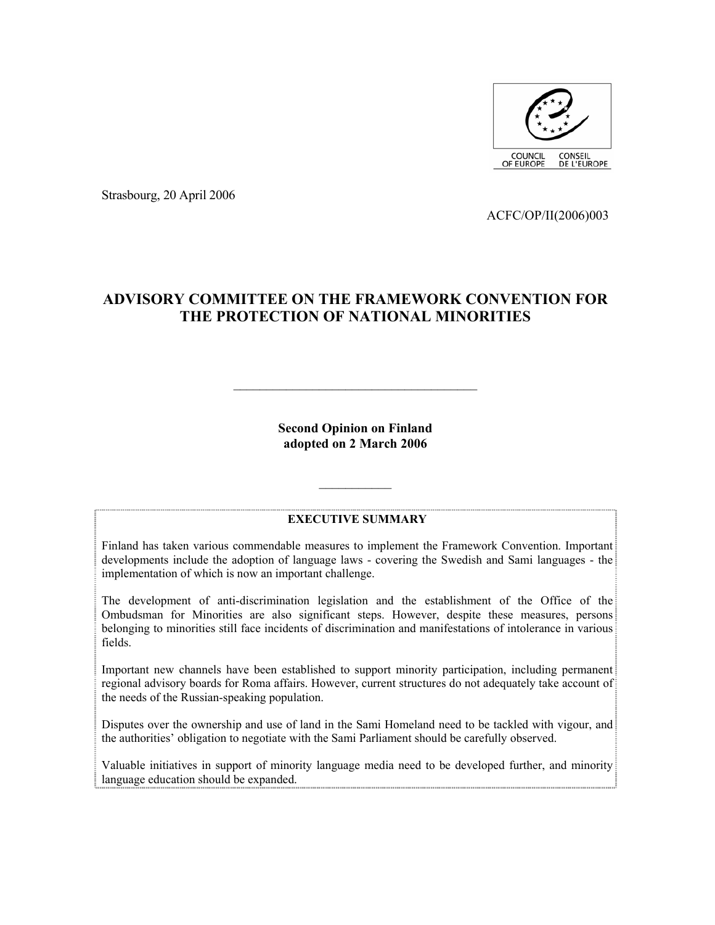

Strasbourg, 20 April 2006

ACFC/OP/II(2006)003

# **ADVISORY COMMITTEE ON THE FRAMEWORK CONVENTION FOR THE PROTECTION OF NATIONAL MINORITIES**

**Second Opinion on Finland adopted on 2 March 2006** 

 $\mathcal{L}_\text{max}$ 

#### **EXECUTIVE SUMMARY**

 $\mathcal{L}_\text{max}$ 

Finland has taken various commendable measures to implement the Framework Convention. Important developments include the adoption of language laws - covering the Swedish and Sami languages - the implementation of which is now an important challenge.

The development of anti-discrimination legislation and the establishment of the Office of the Ombudsman for Minorities are also significant steps. However, despite these measures, persons belonging to minorities still face incidents of discrimination and manifestations of intolerance in various fields.

Important new channels have been established to support minority participation, including permanent regional advisory boards for Roma affairs. However, current structures do not adequately take account of the needs of the Russian-speaking population.

Disputes over the ownership and use of land in the Sami Homeland need to be tackled with vigour, and the authorities' obligation to negotiate with the Sami Parliament should be carefully observed.

Valuable initiatives in support of minority language media need to be developed further, and minority language education should be expanded.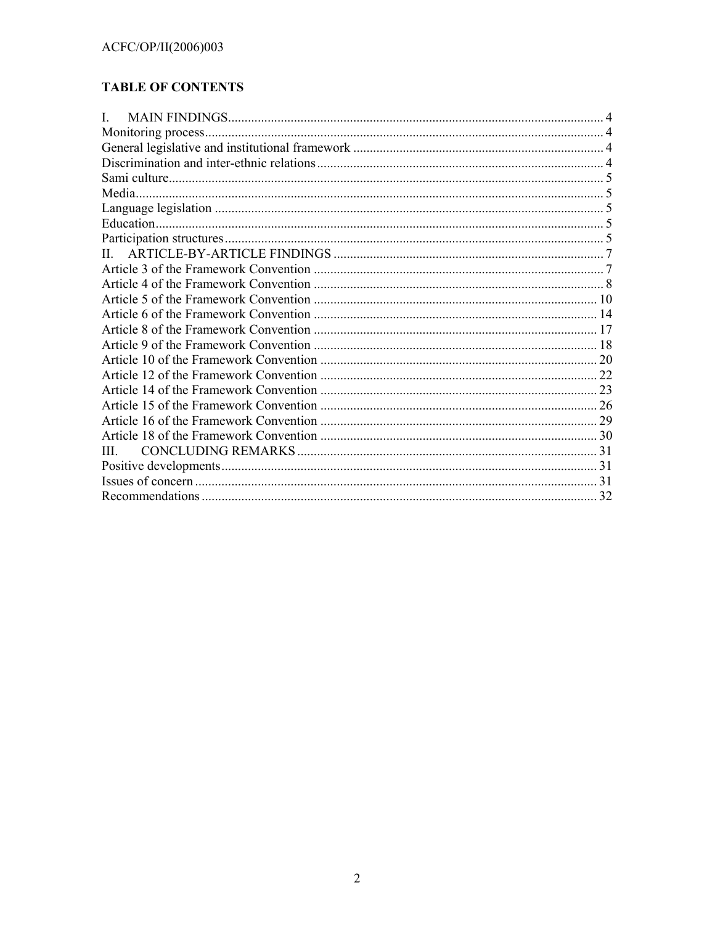# **TABLE OF CONTENTS**

| L            |  |
|--------------|--|
|              |  |
|              |  |
|              |  |
|              |  |
|              |  |
|              |  |
|              |  |
|              |  |
| $\mathbf{H}$ |  |
|              |  |
|              |  |
|              |  |
|              |  |
|              |  |
|              |  |
|              |  |
|              |  |
|              |  |
|              |  |
|              |  |
|              |  |
| Ш            |  |
|              |  |
|              |  |
|              |  |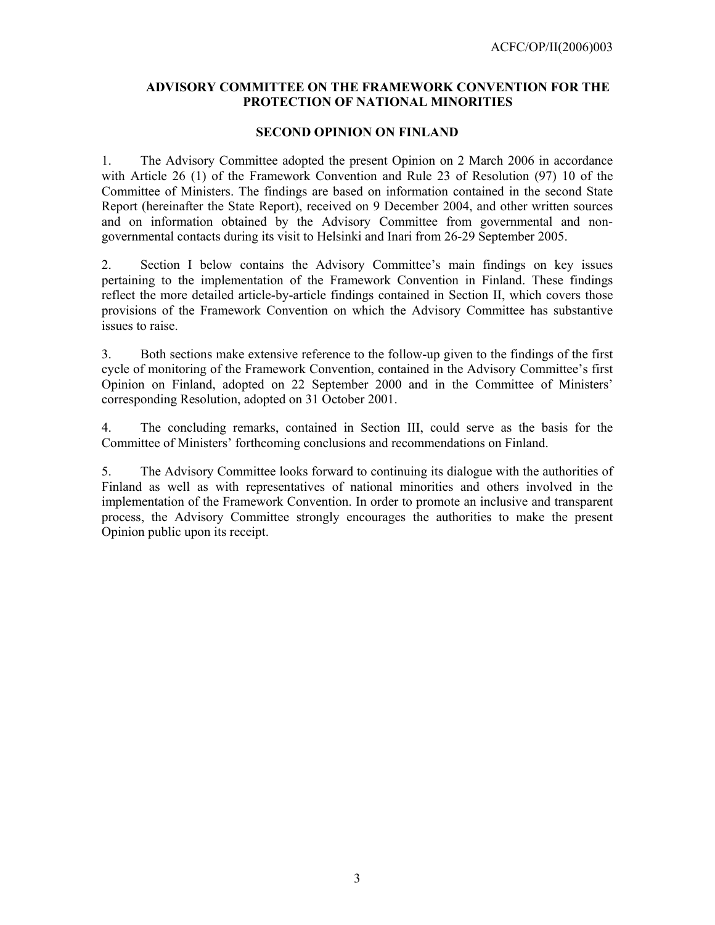## **ADVISORY COMMITTEE ON THE FRAMEWORK CONVENTION FOR THE PROTECTION OF NATIONAL MINORITIES**

### **SECOND OPINION ON FINLAND**

1. The Advisory Committee adopted the present Opinion on 2 March 2006 in accordance with Article 26 (1) of the Framework Convention and Rule 23 of Resolution (97) 10 of the Committee of Ministers. The findings are based on information contained in the second State Report (hereinafter the State Report), received on 9 December 2004, and other written sources and on information obtained by the Advisory Committee from governmental and nongovernmental contacts during its visit to Helsinki and Inari from 26-29 September 2005.

2. Section I below contains the Advisory Committee's main findings on key issues pertaining to the implementation of the Framework Convention in Finland. These findings reflect the more detailed article-by-article findings contained in Section II, which covers those provisions of the Framework Convention on which the Advisory Committee has substantive issues to raise.

3. Both sections make extensive reference to the follow-up given to the findings of the first cycle of monitoring of the Framework Convention, contained in the Advisory Committee's first Opinion on Finland, adopted on 22 September 2000 and in the Committee of Ministers' corresponding Resolution, adopted on 31 October 2001.

4. The concluding remarks, contained in Section III, could serve as the basis for the Committee of Ministers' forthcoming conclusions and recommendations on Finland.

5. The Advisory Committee looks forward to continuing its dialogue with the authorities of Finland as well as with representatives of national minorities and others involved in the implementation of the Framework Convention. In order to promote an inclusive and transparent process, the Advisory Committee strongly encourages the authorities to make the present Opinion public upon its receipt.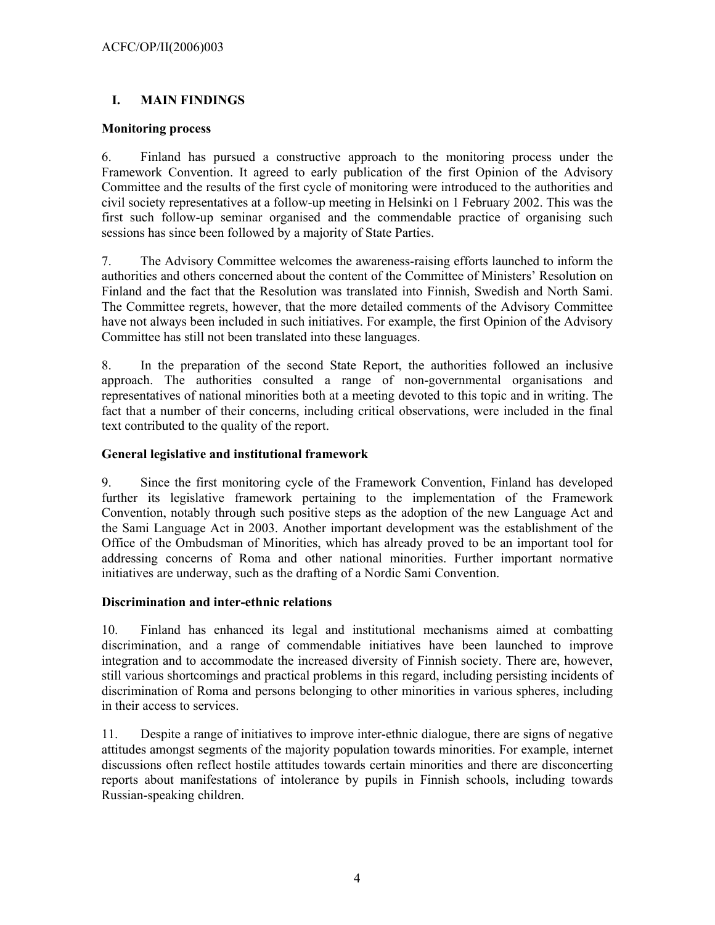# **I. MAIN FINDINGS**

## **Monitoring process**

6. Finland has pursued a constructive approach to the monitoring process under the Framework Convention. It agreed to early publication of the first Opinion of the Advisory Committee and the results of the first cycle of monitoring were introduced to the authorities and civil society representatives at a follow-up meeting in Helsinki on 1 February 2002. This was the first such follow-up seminar organised and the commendable practice of organising such sessions has since been followed by a majority of State Parties.

7. The Advisory Committee welcomes the awareness-raising efforts launched to inform the authorities and others concerned about the content of the Committee of Ministers' Resolution on Finland and the fact that the Resolution was translated into Finnish, Swedish and North Sami. The Committee regrets, however, that the more detailed comments of the Advisory Committee have not always been included in such initiatives. For example, the first Opinion of the Advisory Committee has still not been translated into these languages.

8. In the preparation of the second State Report, the authorities followed an inclusive approach. The authorities consulted a range of non-governmental organisations and representatives of national minorities both at a meeting devoted to this topic and in writing. The fact that a number of their concerns, including critical observations, were included in the final text contributed to the quality of the report.

## **General legislative and institutional framework**

9. Since the first monitoring cycle of the Framework Convention, Finland has developed further its legislative framework pertaining to the implementation of the Framework Convention, notably through such positive steps as the adoption of the new Language Act and the Sami Language Act in 2003. Another important development was the establishment of the Office of the Ombudsman of Minorities, which has already proved to be an important tool for addressing concerns of Roma and other national minorities. Further important normative initiatives are underway, such as the drafting of a Nordic Sami Convention.

#### **Discrimination and inter-ethnic relations**

10. Finland has enhanced its legal and institutional mechanisms aimed at combatting discrimination, and a range of commendable initiatives have been launched to improve integration and to accommodate the increased diversity of Finnish society. There are, however, still various shortcomings and practical problems in this regard, including persisting incidents of discrimination of Roma and persons belonging to other minorities in various spheres, including in their access to services.

11. Despite a range of initiatives to improve inter-ethnic dialogue, there are signs of negative attitudes amongst segments of the majority population towards minorities. For example, internet discussions often reflect hostile attitudes towards certain minorities and there are disconcerting reports about manifestations of intolerance by pupils in Finnish schools, including towards Russian-speaking children.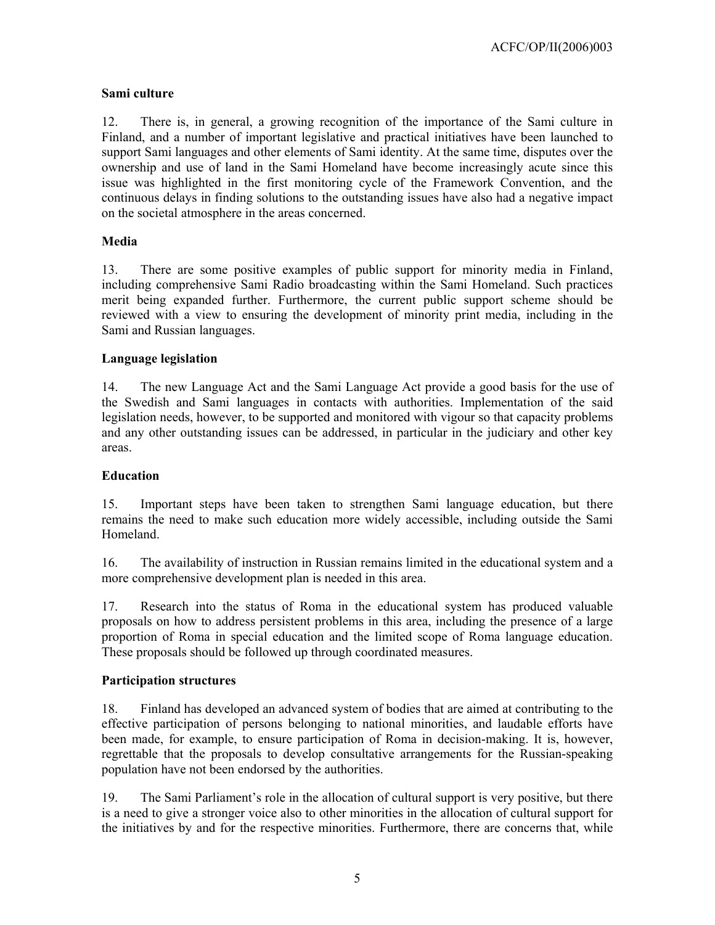# **Sami culture**

12. There is, in general, a growing recognition of the importance of the Sami culture in Finland, and a number of important legislative and practical initiatives have been launched to support Sami languages and other elements of Sami identity. At the same time, disputes over the ownership and use of land in the Sami Homeland have become increasingly acute since this issue was highlighted in the first monitoring cycle of the Framework Convention, and the continuous delays in finding solutions to the outstanding issues have also had a negative impact on the societal atmosphere in the areas concerned.

## **Media**

13. There are some positive examples of public support for minority media in Finland, including comprehensive Sami Radio broadcasting within the Sami Homeland. Such practices merit being expanded further. Furthermore, the current public support scheme should be reviewed with a view to ensuring the development of minority print media, including in the Sami and Russian languages.

## **Language legislation**

14. The new Language Act and the Sami Language Act provide a good basis for the use of the Swedish and Sami languages in contacts with authorities. Implementation of the said legislation needs, however, to be supported and monitored with vigour so that capacity problems and any other outstanding issues can be addressed, in particular in the judiciary and other key areas.

## **Education**

15. Important steps have been taken to strengthen Sami language education, but there remains the need to make such education more widely accessible, including outside the Sami Homeland.

16. The availability of instruction in Russian remains limited in the educational system and a more comprehensive development plan is needed in this area.

17. Research into the status of Roma in the educational system has produced valuable proposals on how to address persistent problems in this area, including the presence of a large proportion of Roma in special education and the limited scope of Roma language education. These proposals should be followed up through coordinated measures.

## **Participation structures**

18. Finland has developed an advanced system of bodies that are aimed at contributing to the effective participation of persons belonging to national minorities, and laudable efforts have been made, for example, to ensure participation of Roma in decision-making. It is, however, regrettable that the proposals to develop consultative arrangements for the Russian-speaking population have not been endorsed by the authorities.

19. The Sami Parliament's role in the allocation of cultural support is very positive, but there is a need to give a stronger voice also to other minorities in the allocation of cultural support for the initiatives by and for the respective minorities. Furthermore, there are concerns that, while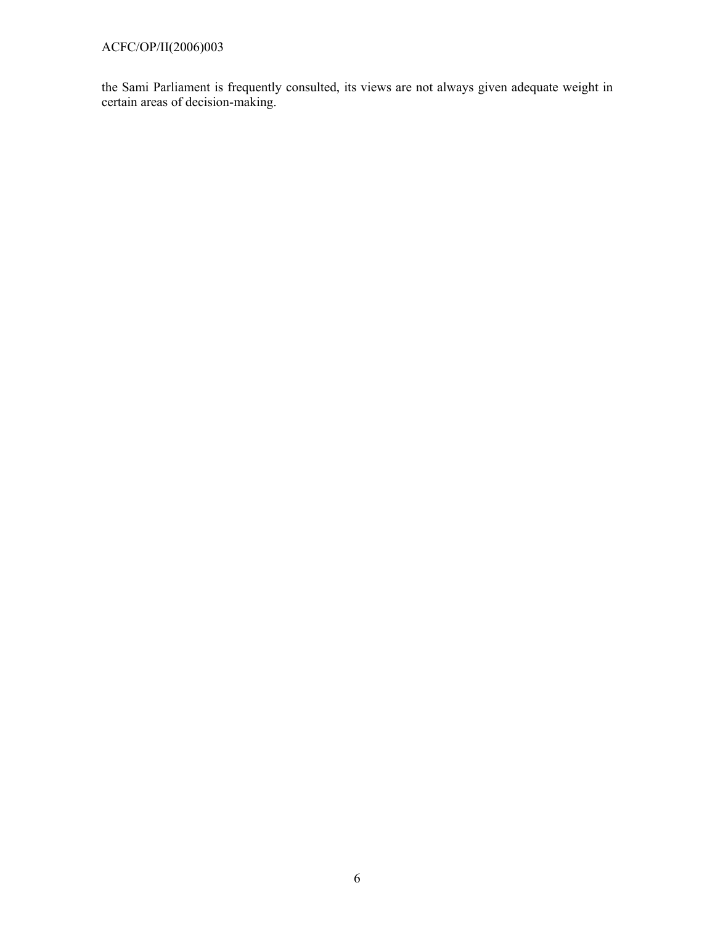# ACFC/OP/II(2006)003

the Sami Parliament is frequently consulted, its views are not always given adequate weight in certain areas of decision-making.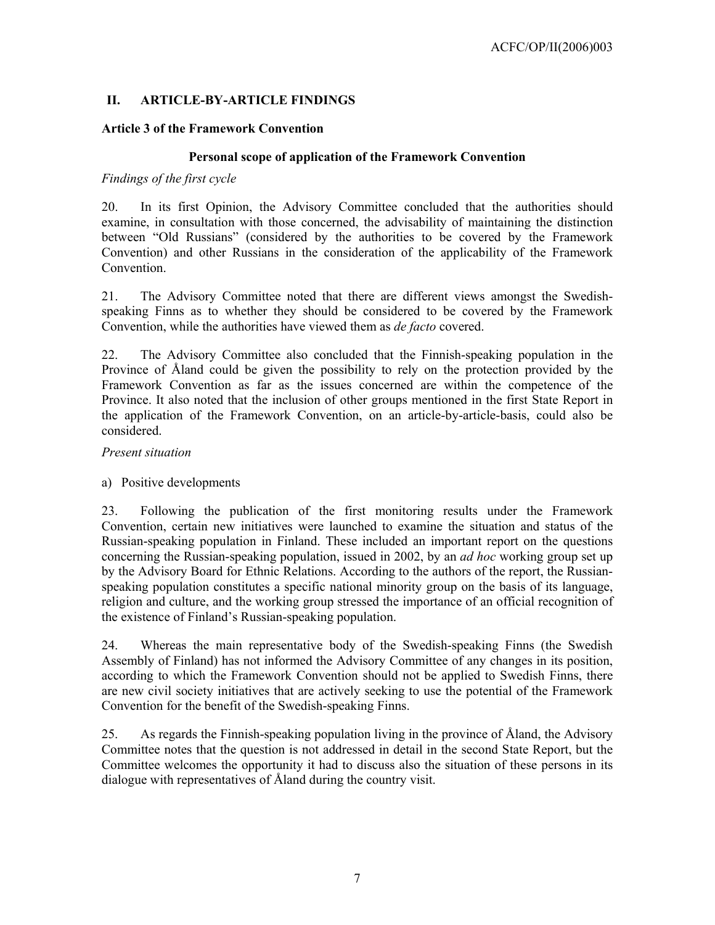# **II. ARTICLE-BY-ARTICLE FINDINGS**

# **Article 3 of the Framework Convention**

# **Personal scope of application of the Framework Convention**

# *Findings of the first cycle*

20. In its first Opinion, the Advisory Committee concluded that the authorities should examine, in consultation with those concerned, the advisability of maintaining the distinction between "Old Russians" (considered by the authorities to be covered by the Framework Convention) and other Russians in the consideration of the applicability of the Framework **Convention** 

21. The Advisory Committee noted that there are different views amongst the Swedishspeaking Finns as to whether they should be considered to be covered by the Framework Convention, while the authorities have viewed them as *de facto* covered.

22. The Advisory Committee also concluded that the Finnish-speaking population in the Province of Åland could be given the possibility to rely on the protection provided by the Framework Convention as far as the issues concerned are within the competence of the Province. It also noted that the inclusion of other groups mentioned in the first State Report in the application of the Framework Convention, on an article-by-article-basis, could also be considered.

## *Present situation*

## a) Positive developments

23. Following the publication of the first monitoring results under the Framework Convention, certain new initiatives were launched to examine the situation and status of the Russian-speaking population in Finland. These included an important report on the questions concerning the Russian-speaking population, issued in 2002, by an *ad hoc* working group set up by the Advisory Board for Ethnic Relations. According to the authors of the report, the Russianspeaking population constitutes a specific national minority group on the basis of its language, religion and culture, and the working group stressed the importance of an official recognition of the existence of Finland's Russian-speaking population.

24. Whereas the main representative body of the Swedish-speaking Finns (the Swedish Assembly of Finland) has not informed the Advisory Committee of any changes in its position, according to which the Framework Convention should not be applied to Swedish Finns, there are new civil society initiatives that are actively seeking to use the potential of the Framework Convention for the benefit of the Swedish-speaking Finns.

25. As regards the Finnish-speaking population living in the province of Åland, the Advisory Committee notes that the question is not addressed in detail in the second State Report, but the Committee welcomes the opportunity it had to discuss also the situation of these persons in its dialogue with representatives of Åland during the country visit.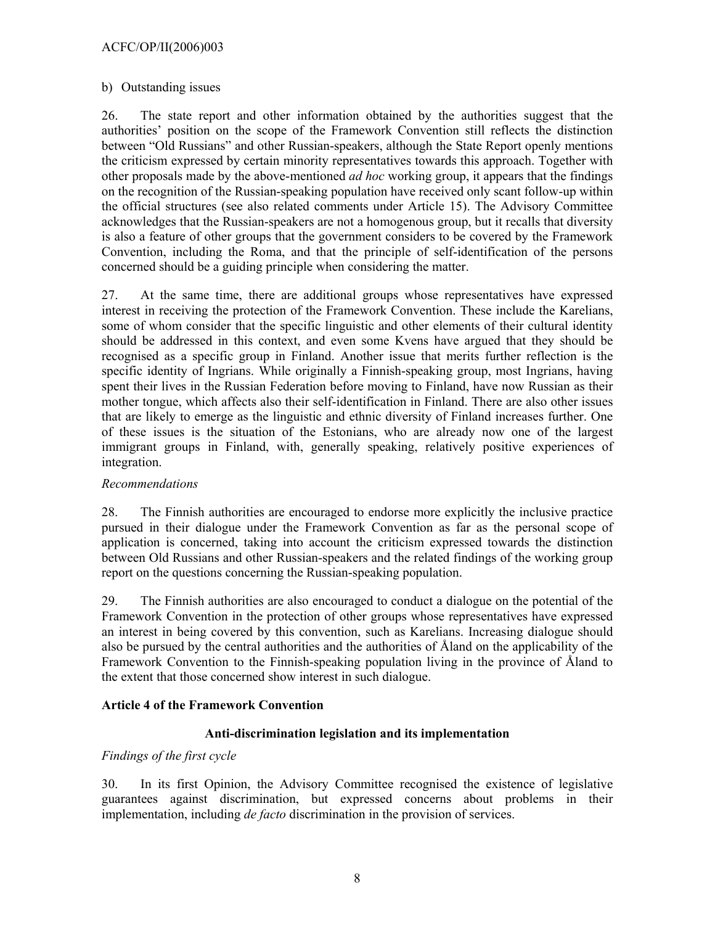## ACFC/OP/II(2006)003

### b) Outstanding issues

26. The state report and other information obtained by the authorities suggest that the authorities' position on the scope of the Framework Convention still reflects the distinction between "Old Russians" and other Russian-speakers, although the State Report openly mentions the criticism expressed by certain minority representatives towards this approach. Together with other proposals made by the above-mentioned *ad hoc* working group, it appears that the findings on the recognition of the Russian-speaking population have received only scant follow-up within the official structures (see also related comments under Article 15). The Advisory Committee acknowledges that the Russian-speakers are not a homogenous group, but it recalls that diversity is also a feature of other groups that the government considers to be covered by the Framework Convention, including the Roma, and that the principle of self-identification of the persons concerned should be a guiding principle when considering the matter.

27. At the same time, there are additional groups whose representatives have expressed interest in receiving the protection of the Framework Convention. These include the Karelians, some of whom consider that the specific linguistic and other elements of their cultural identity should be addressed in this context, and even some Kvens have argued that they should be recognised as a specific group in Finland. Another issue that merits further reflection is the specific identity of Ingrians. While originally a Finnish-speaking group, most Ingrians, having spent their lives in the Russian Federation before moving to Finland, have now Russian as their mother tongue, which affects also their self-identification in Finland. There are also other issues that are likely to emerge as the linguistic and ethnic diversity of Finland increases further. One of these issues is the situation of the Estonians, who are already now one of the largest immigrant groups in Finland, with, generally speaking, relatively positive experiences of integration.

## *Recommendations*

28. The Finnish authorities are encouraged to endorse more explicitly the inclusive practice pursued in their dialogue under the Framework Convention as far as the personal scope of application is concerned, taking into account the criticism expressed towards the distinction between Old Russians and other Russian-speakers and the related findings of the working group report on the questions concerning the Russian-speaking population.

29. The Finnish authorities are also encouraged to conduct a dialogue on the potential of the Framework Convention in the protection of other groups whose representatives have expressed an interest in being covered by this convention, such as Karelians. Increasing dialogue should also be pursued by the central authorities and the authorities of Åland on the applicability of the Framework Convention to the Finnish-speaking population living in the province of Åland to the extent that those concerned show interest in such dialogue.

## **Article 4 of the Framework Convention**

## **Anti-discrimination legislation and its implementation**

#### *Findings of the first cycle*

30. In its first Opinion, the Advisory Committee recognised the existence of legislative guarantees against discrimination, but expressed concerns about problems in their implementation, including *de facto* discrimination in the provision of services.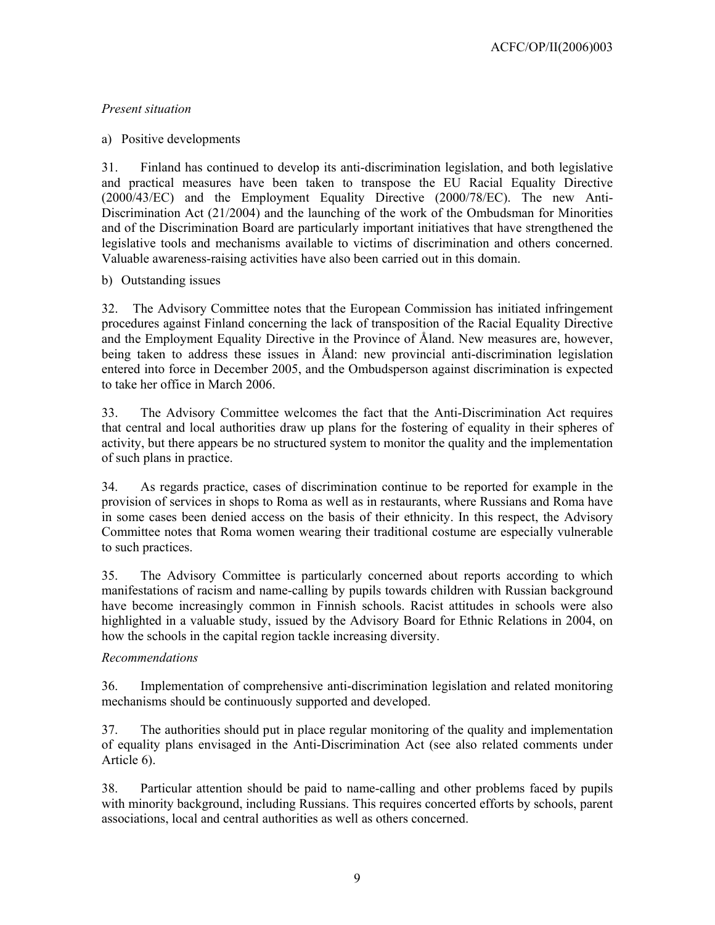# *Present situation*

# a) Positive developments

31. Finland has continued to develop its anti-discrimination legislation, and both legislative and practical measures have been taken to transpose the EU Racial Equality Directive (2000/43/EC) and the Employment Equality Directive (2000/78/EC). The new Anti-Discrimination Act (21/2004) and the launching of the work of the Ombudsman for Minorities and of the Discrimination Board are particularly important initiatives that have strengthened the legislative tools and mechanisms available to victims of discrimination and others concerned. Valuable awareness-raising activities have also been carried out in this domain.

# b) Outstanding issues

32. The Advisory Committee notes that the European Commission has initiated infringement procedures against Finland concerning the lack of transposition of the Racial Equality Directive and the Employment Equality Directive in the Province of Åland. New measures are, however, being taken to address these issues in Åland: new provincial anti-discrimination legislation entered into force in December 2005, and the Ombudsperson against discrimination is expected to take her office in March 2006.

33. The Advisory Committee welcomes the fact that the Anti-Discrimination Act requires that central and local authorities draw up plans for the fostering of equality in their spheres of activity, but there appears be no structured system to monitor the quality and the implementation of such plans in practice.

34. As regards practice, cases of discrimination continue to be reported for example in the provision of services in shops to Roma as well as in restaurants, where Russians and Roma have in some cases been denied access on the basis of their ethnicity. In this respect, the Advisory Committee notes that Roma women wearing their traditional costume are especially vulnerable to such practices.

35. The Advisory Committee is particularly concerned about reports according to which manifestations of racism and name-calling by pupils towards children with Russian background have become increasingly common in Finnish schools. Racist attitudes in schools were also highlighted in a valuable study, issued by the Advisory Board for Ethnic Relations in 2004, on how the schools in the capital region tackle increasing diversity.

# *Recommendations*

36. Implementation of comprehensive anti-discrimination legislation and related monitoring mechanisms should be continuously supported and developed.

37. The authorities should put in place regular monitoring of the quality and implementation of equality plans envisaged in the Anti-Discrimination Act (see also related comments under Article 6).

38. Particular attention should be paid to name-calling and other problems faced by pupils with minority background, including Russians. This requires concerted efforts by schools, parent associations, local and central authorities as well as others concerned.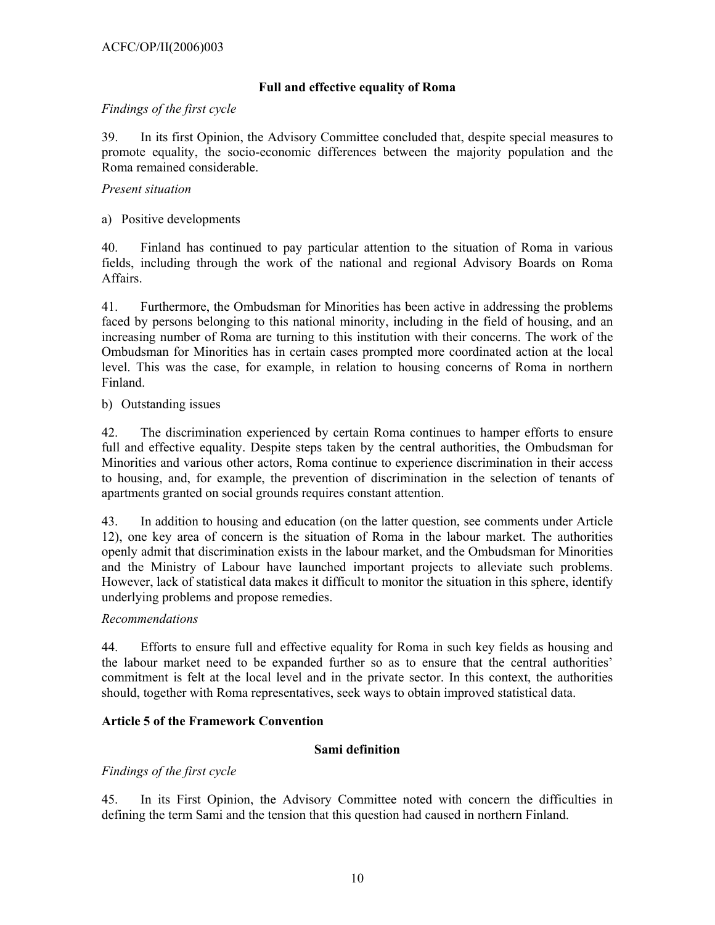# **Full and effective equality of Roma**

## *Findings of the first cycle*

39. In its first Opinion, the Advisory Committee concluded that, despite special measures to promote equality, the socio-economic differences between the majority population and the Roma remained considerable.

### *Present situation*

a) Positive developments

40. Finland has continued to pay particular attention to the situation of Roma in various fields, including through the work of the national and regional Advisory Boards on Roma Affairs.

41. Furthermore, the Ombudsman for Minorities has been active in addressing the problems faced by persons belonging to this national minority, including in the field of housing, and an increasing number of Roma are turning to this institution with their concerns. The work of the Ombudsman for Minorities has in certain cases prompted more coordinated action at the local level. This was the case, for example, in relation to housing concerns of Roma in northern Finland.

### b) Outstanding issues

42. The discrimination experienced by certain Roma continues to hamper efforts to ensure full and effective equality. Despite steps taken by the central authorities, the Ombudsman for Minorities and various other actors, Roma continue to experience discrimination in their access to housing, and, for example, the prevention of discrimination in the selection of tenants of apartments granted on social grounds requires constant attention.

43. In addition to housing and education (on the latter question, see comments under Article 12), one key area of concern is the situation of Roma in the labour market. The authorities openly admit that discrimination exists in the labour market, and the Ombudsman for Minorities and the Ministry of Labour have launched important projects to alleviate such problems. However, lack of statistical data makes it difficult to monitor the situation in this sphere, identify underlying problems and propose remedies.

#### *Recommendations*

44. Efforts to ensure full and effective equality for Roma in such key fields as housing and the labour market need to be expanded further so as to ensure that the central authorities' commitment is felt at the local level and in the private sector. In this context, the authorities should, together with Roma representatives, seek ways to obtain improved statistical data.

## **Article 5 of the Framework Convention**

## **Sami definition**

## *Findings of the first cycle*

45. In its First Opinion, the Advisory Committee noted with concern the difficulties in defining the term Sami and the tension that this question had caused in northern Finland.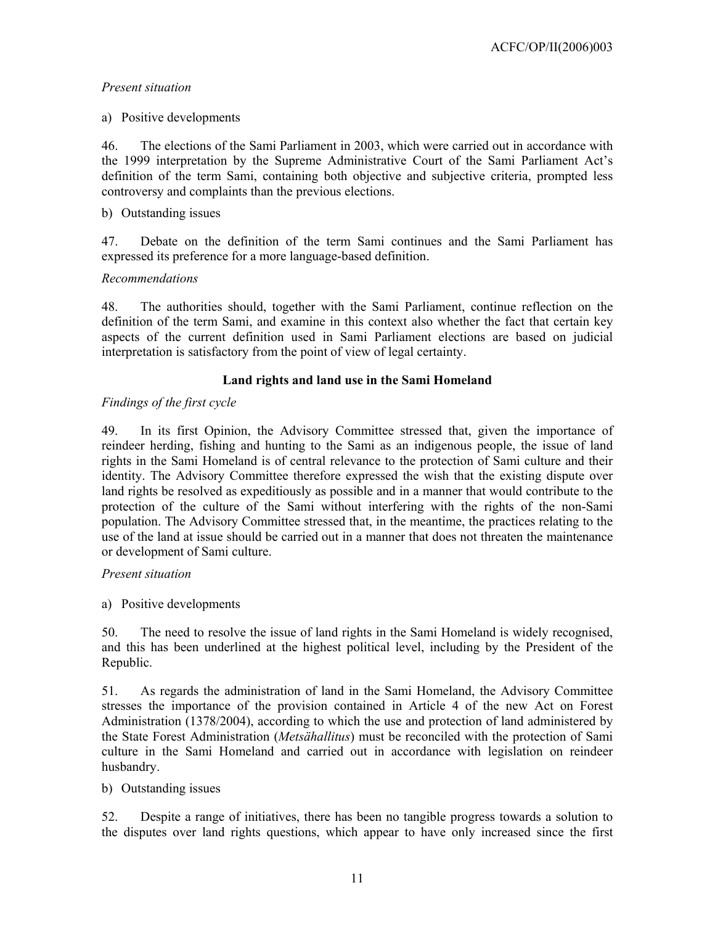# *Present situation*

a) Positive developments

46. The elections of the Sami Parliament in 2003, which were carried out in accordance with the 1999 interpretation by the Supreme Administrative Court of the Sami Parliament Act's definition of the term Sami, containing both objective and subjective criteria, prompted less controversy and complaints than the previous elections.

# b) Outstanding issues

47. Debate on the definition of the term Sami continues and the Sami Parliament has expressed its preference for a more language-based definition.

# *Recommendations*

48. The authorities should, together with the Sami Parliament, continue reflection on the definition of the term Sami, and examine in this context also whether the fact that certain key aspects of the current definition used in Sami Parliament elections are based on judicial interpretation is satisfactory from the point of view of legal certainty.

# **Land rights and land use in the Sami Homeland**

# *Findings of the first cycle*

49. In its first Opinion, the Advisory Committee stressed that, given the importance of reindeer herding, fishing and hunting to the Sami as an indigenous people, the issue of land rights in the Sami Homeland is of central relevance to the protection of Sami culture and their identity. The Advisory Committee therefore expressed the wish that the existing dispute over land rights be resolved as expeditiously as possible and in a manner that would contribute to the protection of the culture of the Sami without interfering with the rights of the non-Sami population. The Advisory Committee stressed that, in the meantime, the practices relating to the use of the land at issue should be carried out in a manner that does not threaten the maintenance or development of Sami culture.

# *Present situation*

a) Positive developments

50. The need to resolve the issue of land rights in the Sami Homeland is widely recognised, and this has been underlined at the highest political level, including by the President of the Republic.

51. As regards the administration of land in the Sami Homeland, the Advisory Committee stresses the importance of the provision contained in Article 4 of the new Act on Forest Administration (1378/2004), according to which the use and protection of land administered by the State Forest Administration (*Metsähallitus*) must be reconciled with the protection of Sami culture in the Sami Homeland and carried out in accordance with legislation on reindeer husbandry.

# b) Outstanding issues

52. Despite a range of initiatives, there has been no tangible progress towards a solution to the disputes over land rights questions, which appear to have only increased since the first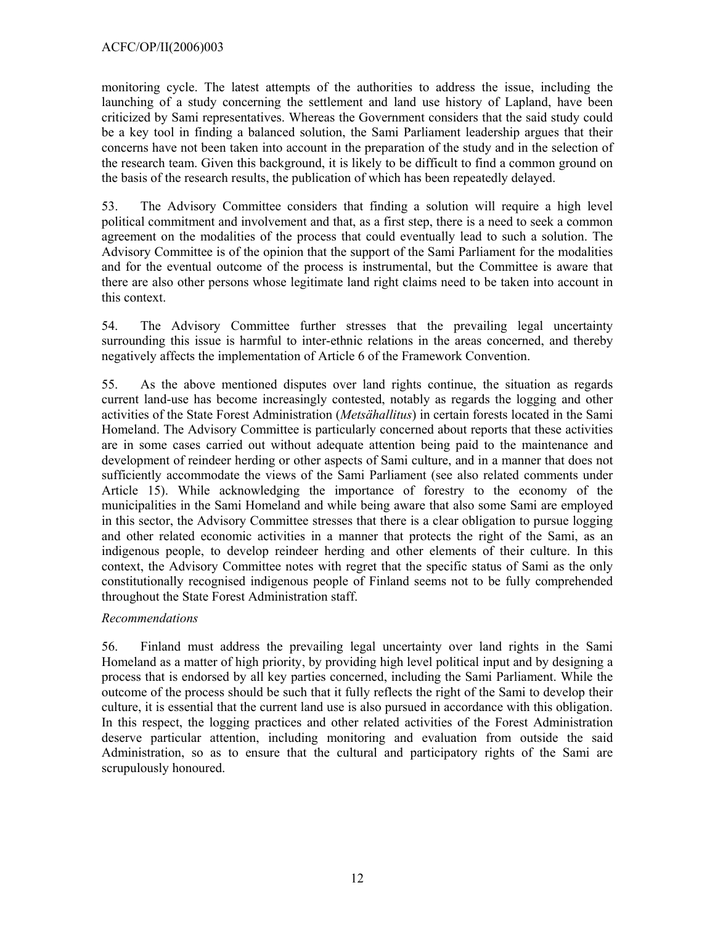monitoring cycle. The latest attempts of the authorities to address the issue, including the launching of a study concerning the settlement and land use history of Lapland, have been criticized by Sami representatives. Whereas the Government considers that the said study could be a key tool in finding a balanced solution, the Sami Parliament leadership argues that their concerns have not been taken into account in the preparation of the study and in the selection of the research team. Given this background, it is likely to be difficult to find a common ground on the basis of the research results, the publication of which has been repeatedly delayed.

53. The Advisory Committee considers that finding a solution will require a high level political commitment and involvement and that, as a first step, there is a need to seek a common agreement on the modalities of the process that could eventually lead to such a solution. The Advisory Committee is of the opinion that the support of the Sami Parliament for the modalities and for the eventual outcome of the process is instrumental, but the Committee is aware that there are also other persons whose legitimate land right claims need to be taken into account in this context.

54. The Advisory Committee further stresses that the prevailing legal uncertainty surrounding this issue is harmful to inter-ethnic relations in the areas concerned, and thereby negatively affects the implementation of Article 6 of the Framework Convention.

55. As the above mentioned disputes over land rights continue, the situation as regards current land-use has become increasingly contested, notably as regards the logging and other activities of the State Forest Administration (*Metsähallitus*) in certain forests located in the Sami Homeland. The Advisory Committee is particularly concerned about reports that these activities are in some cases carried out without adequate attention being paid to the maintenance and development of reindeer herding or other aspects of Sami culture, and in a manner that does not sufficiently accommodate the views of the Sami Parliament (see also related comments under Article 15). While acknowledging the importance of forestry to the economy of the municipalities in the Sami Homeland and while being aware that also some Sami are employed in this sector, the Advisory Committee stresses that there is a clear obligation to pursue logging and other related economic activities in a manner that protects the right of the Sami, as an indigenous people, to develop reindeer herding and other elements of their culture. In this context, the Advisory Committee notes with regret that the specific status of Sami as the only constitutionally recognised indigenous people of Finland seems not to be fully comprehended throughout the State Forest Administration staff.

# *Recommendations*

56. Finland must address the prevailing legal uncertainty over land rights in the Sami Homeland as a matter of high priority, by providing high level political input and by designing a process that is endorsed by all key parties concerned, including the Sami Parliament. While the outcome of the process should be such that it fully reflects the right of the Sami to develop their culture, it is essential that the current land use is also pursued in accordance with this obligation. In this respect, the logging practices and other related activities of the Forest Administration deserve particular attention, including monitoring and evaluation from outside the said Administration, so as to ensure that the cultural and participatory rights of the Sami are scrupulously honoured.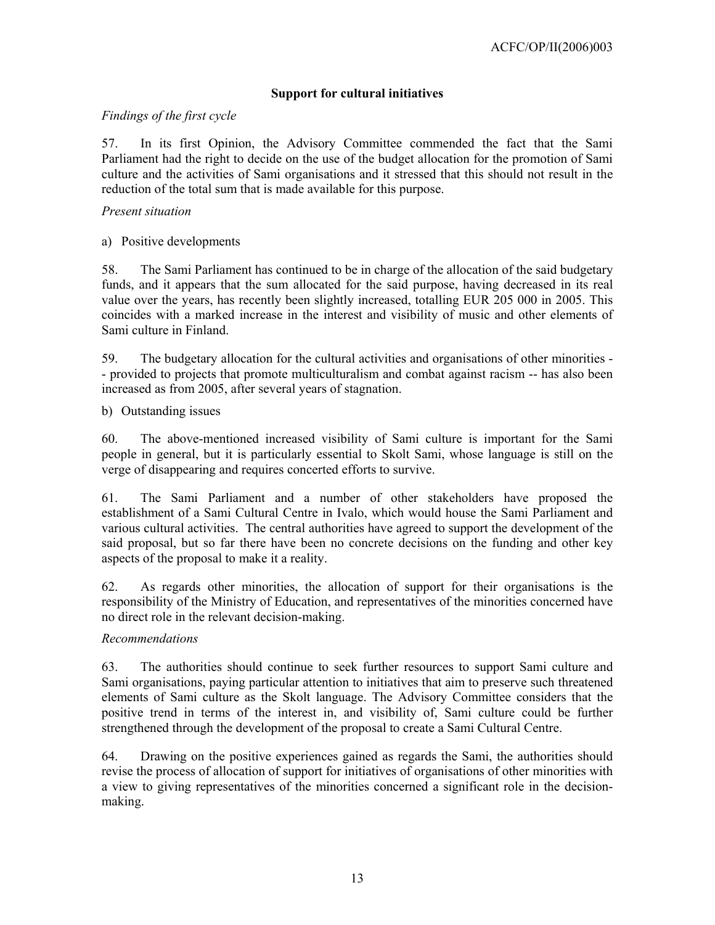# **Support for cultural initiatives**

## *Findings of the first cycle*

57. In its first Opinion, the Advisory Committee commended the fact that the Sami Parliament had the right to decide on the use of the budget allocation for the promotion of Sami culture and the activities of Sami organisations and it stressed that this should not result in the reduction of the total sum that is made available for this purpose.

### *Present situation*

a) Positive developments

58. The Sami Parliament has continued to be in charge of the allocation of the said budgetary funds, and it appears that the sum allocated for the said purpose, having decreased in its real value over the years, has recently been slightly increased, totalling EUR 205 000 in 2005. This coincides with a marked increase in the interest and visibility of music and other elements of Sami culture in Finland.

59. The budgetary allocation for the cultural activities and organisations of other minorities - - provided to projects that promote multiculturalism and combat against racism -- has also been increased as from 2005, after several years of stagnation.

b) Outstanding issues

60. The above-mentioned increased visibility of Sami culture is important for the Sami people in general, but it is particularly essential to Skolt Sami, whose language is still on the verge of disappearing and requires concerted efforts to survive.

61. The Sami Parliament and a number of other stakeholders have proposed the establishment of a Sami Cultural Centre in Ivalo, which would house the Sami Parliament and various cultural activities. The central authorities have agreed to support the development of the said proposal, but so far there have been no concrete decisions on the funding and other key aspects of the proposal to make it a reality.

62. As regards other minorities, the allocation of support for their organisations is the responsibility of the Ministry of Education, and representatives of the minorities concerned have no direct role in the relevant decision-making.

## *Recommendations*

63. The authorities should continue to seek further resources to support Sami culture and Sami organisations, paying particular attention to initiatives that aim to preserve such threatened elements of Sami culture as the Skolt language. The Advisory Committee considers that the positive trend in terms of the interest in, and visibility of, Sami culture could be further strengthened through the development of the proposal to create a Sami Cultural Centre.

64. Drawing on the positive experiences gained as regards the Sami, the authorities should revise the process of allocation of support for initiatives of organisations of other minorities with a view to giving representatives of the minorities concerned a significant role in the decisionmaking.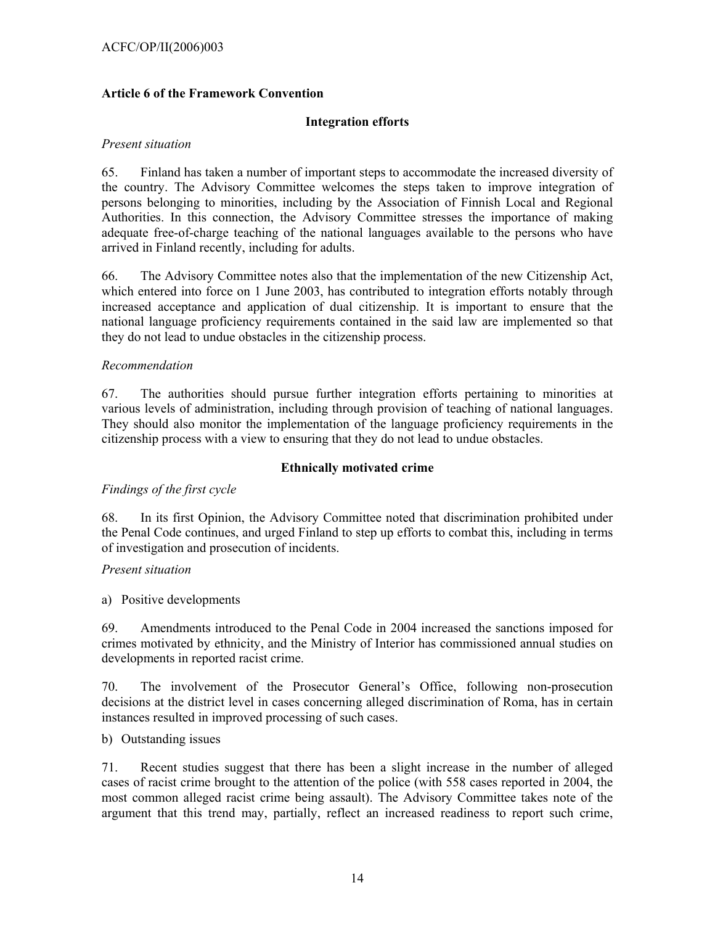## ACFC/OP/II(2006)003

### **Article 6 of the Framework Convention**

### **Integration efforts**

#### *Present situation*

65. Finland has taken a number of important steps to accommodate the increased diversity of the country. The Advisory Committee welcomes the steps taken to improve integration of persons belonging to minorities, including by the Association of Finnish Local and Regional Authorities. In this connection, the Advisory Committee stresses the importance of making adequate free-of-charge teaching of the national languages available to the persons who have arrived in Finland recently, including for adults.

66. The Advisory Committee notes also that the implementation of the new Citizenship Act, which entered into force on 1 June 2003, has contributed to integration efforts notably through increased acceptance and application of dual citizenship. It is important to ensure that the national language proficiency requirements contained in the said law are implemented so that they do not lead to undue obstacles in the citizenship process.

#### *Recommendation*

67. The authorities should pursue further integration efforts pertaining to minorities at various levels of administration, including through provision of teaching of national languages. They should also monitor the implementation of the language proficiency requirements in the citizenship process with a view to ensuring that they do not lead to undue obstacles.

#### **Ethnically motivated crime**

## *Findings of the first cycle*

68. In its first Opinion, the Advisory Committee noted that discrimination prohibited under the Penal Code continues, and urged Finland to step up efforts to combat this, including in terms of investigation and prosecution of incidents.

#### *Present situation*

a) Positive developments

69. Amendments introduced to the Penal Code in 2004 increased the sanctions imposed for crimes motivated by ethnicity, and the Ministry of Interior has commissioned annual studies on developments in reported racist crime.

70. The involvement of the Prosecutor General's Office, following non-prosecution decisions at the district level in cases concerning alleged discrimination of Roma, has in certain instances resulted in improved processing of such cases.

b) Outstanding issues

71. Recent studies suggest that there has been a slight increase in the number of alleged cases of racist crime brought to the attention of the police (with 558 cases reported in 2004, the most common alleged racist crime being assault). The Advisory Committee takes note of the argument that this trend may, partially, reflect an increased readiness to report such crime,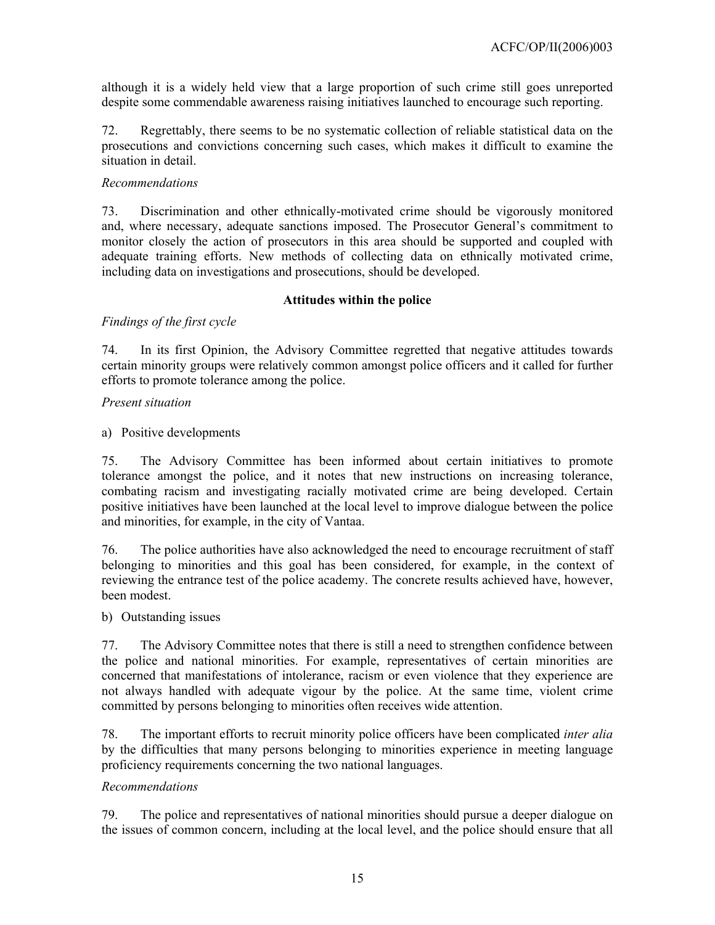although it is a widely held view that a large proportion of such crime still goes unreported despite some commendable awareness raising initiatives launched to encourage such reporting.

72. Regrettably, there seems to be no systematic collection of reliable statistical data on the prosecutions and convictions concerning such cases, which makes it difficult to examine the situation in detail.

## *Recommendations*

73. Discrimination and other ethnically-motivated crime should be vigorously monitored and, where necessary, adequate sanctions imposed. The Prosecutor General's commitment to monitor closely the action of prosecutors in this area should be supported and coupled with adequate training efforts. New methods of collecting data on ethnically motivated crime, including data on investigations and prosecutions, should be developed.

### **Attitudes within the police**

## *Findings of the first cycle*

74. In its first Opinion, the Advisory Committee regretted that negative attitudes towards certain minority groups were relatively common amongst police officers and it called for further efforts to promote tolerance among the police.

### *Present situation*

a) Positive developments

75. The Advisory Committee has been informed about certain initiatives to promote tolerance amongst the police, and it notes that new instructions on increasing tolerance, combating racism and investigating racially motivated crime are being developed. Certain positive initiatives have been launched at the local level to improve dialogue between the police and minorities, for example, in the city of Vantaa.

76. The police authorities have also acknowledged the need to encourage recruitment of staff belonging to minorities and this goal has been considered, for example, in the context of reviewing the entrance test of the police academy. The concrete results achieved have, however, been modest.

#### b) Outstanding issues

77. The Advisory Committee notes that there is still a need to strengthen confidence between the police and national minorities. For example, representatives of certain minorities are concerned that manifestations of intolerance, racism or even violence that they experience are not always handled with adequate vigour by the police. At the same time, violent crime committed by persons belonging to minorities often receives wide attention.

78. The important efforts to recruit minority police officers have been complicated *inter alia* by the difficulties that many persons belonging to minorities experience in meeting language proficiency requirements concerning the two national languages.

## *Recommendations*

79. The police and representatives of national minorities should pursue a deeper dialogue on the issues of common concern, including at the local level, and the police should ensure that all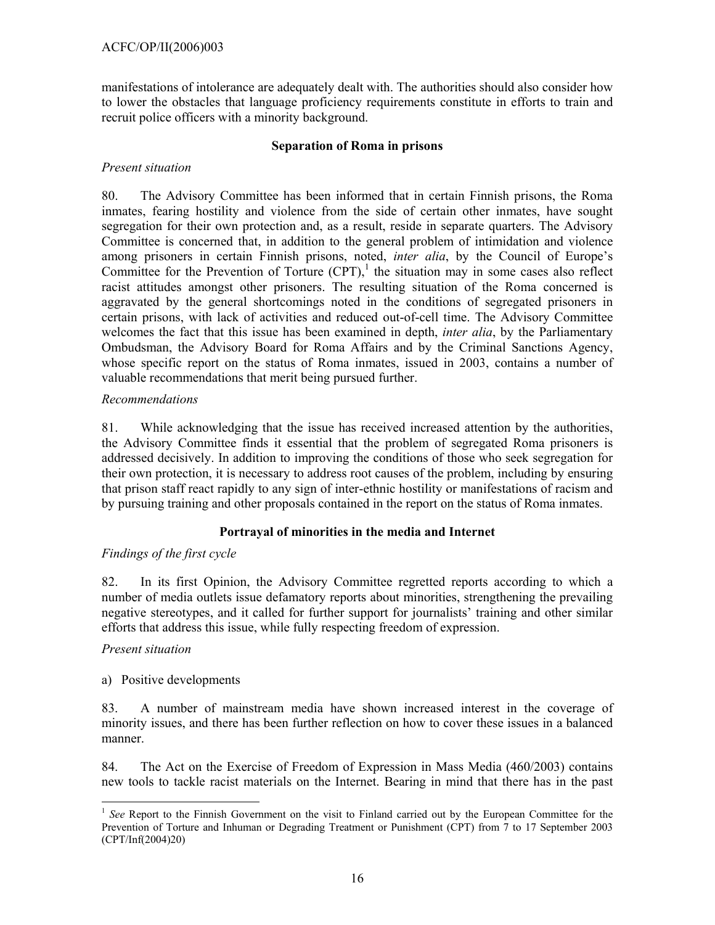manifestations of intolerance are adequately dealt with. The authorities should also consider how to lower the obstacles that language proficiency requirements constitute in efforts to train and recruit police officers with a minority background.

# **Separation of Roma in prisons**

# *Present situation*

80. The Advisory Committee has been informed that in certain Finnish prisons, the Roma inmates, fearing hostility and violence from the side of certain other inmates, have sought segregation for their own protection and, as a result, reside in separate quarters. The Advisory Committee is concerned that, in addition to the general problem of intimidation and violence among prisoners in certain Finnish prisons, noted, *inter alia*, by the Council of Europe's Committee for the Prevention of Torture  $(CPT)$ , the situation may in some cases also reflect racist attitudes amongst other prisoners. The resulting situation of the Roma concerned is aggravated by the general shortcomings noted in the conditions of segregated prisoners in certain prisons, with lack of activities and reduced out-of-cell time. The Advisory Committee welcomes the fact that this issue has been examined in depth, *inter alia*, by the Parliamentary Ombudsman, the Advisory Board for Roma Affairs and by the Criminal Sanctions Agency, whose specific report on the status of Roma inmates, issued in 2003, contains a number of valuable recommendations that merit being pursued further.

# *Recommendations*

81. While acknowledging that the issue has received increased attention by the authorities, the Advisory Committee finds it essential that the problem of segregated Roma prisoners is addressed decisively. In addition to improving the conditions of those who seek segregation for their own protection, it is necessary to address root causes of the problem, including by ensuring that prison staff react rapidly to any sign of inter-ethnic hostility or manifestations of racism and by pursuing training and other proposals contained in the report on the status of Roma inmates.

# **Portrayal of minorities in the media and Internet**

# *Findings of the first cycle*

82. In its first Opinion, the Advisory Committee regretted reports according to which a number of media outlets issue defamatory reports about minorities, strengthening the prevailing negative stereotypes, and it called for further support for journalists' training and other similar efforts that address this issue, while fully respecting freedom of expression.

## *Present situation*

## a) Positive developments

83. A number of mainstream media have shown increased interest in the coverage of minority issues, and there has been further reflection on how to cover these issues in a balanced manner.

84. The Act on the Exercise of Freedom of Expression in Mass Media (460/2003) contains new tools to tackle racist materials on the Internet. Bearing in mind that there has in the past

 $\overline{a}$ <sup>1</sup> See Report to the Finnish Government on the visit to Finland carried out by the European Committee for the Prevention of Torture and Inhuman or Degrading Treatment or Punishment (CPT) from 7 to 17 September 2003 (CPT/Inf(2004)20)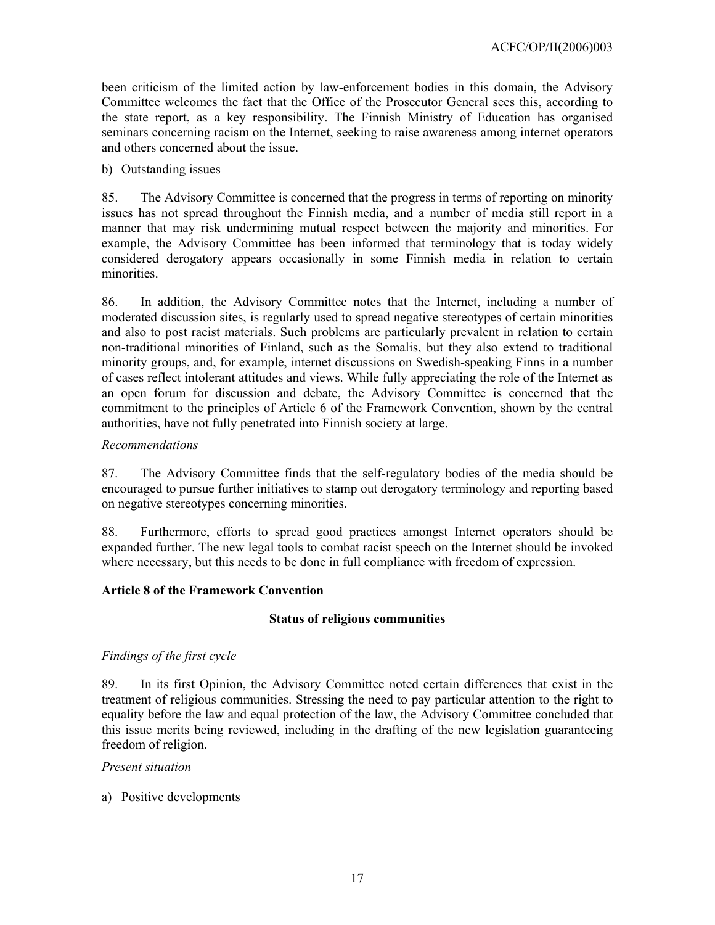been criticism of the limited action by law-enforcement bodies in this domain, the Advisory Committee welcomes the fact that the Office of the Prosecutor General sees this, according to the state report, as a key responsibility. The Finnish Ministry of Education has organised seminars concerning racism on the Internet, seeking to raise awareness among internet operators and others concerned about the issue.

### b) Outstanding issues

85. The Advisory Committee is concerned that the progress in terms of reporting on minority issues has not spread throughout the Finnish media, and a number of media still report in a manner that may risk undermining mutual respect between the majority and minorities. For example, the Advisory Committee has been informed that terminology that is today widely considered derogatory appears occasionally in some Finnish media in relation to certain minorities.

86. In addition, the Advisory Committee notes that the Internet, including a number of moderated discussion sites, is regularly used to spread negative stereotypes of certain minorities and also to post racist materials. Such problems are particularly prevalent in relation to certain non-traditional minorities of Finland, such as the Somalis, but they also extend to traditional minority groups, and, for example, internet discussions on Swedish-speaking Finns in a number of cases reflect intolerant attitudes and views. While fully appreciating the role of the Internet as an open forum for discussion and debate, the Advisory Committee is concerned that the commitment to the principles of Article 6 of the Framework Convention, shown by the central authorities, have not fully penetrated into Finnish society at large.

## *Recommendations*

87. The Advisory Committee finds that the self-regulatory bodies of the media should be encouraged to pursue further initiatives to stamp out derogatory terminology and reporting based on negative stereotypes concerning minorities.

88. Furthermore, efforts to spread good practices amongst Internet operators should be expanded further. The new legal tools to combat racist speech on the Internet should be invoked where necessary, but this needs to be done in full compliance with freedom of expression.

## **Article 8 of the Framework Convention**

## **Status of religious communities**

## *Findings of the first cycle*

89. In its first Opinion, the Advisory Committee noted certain differences that exist in the treatment of religious communities. Stressing the need to pay particular attention to the right to equality before the law and equal protection of the law, the Advisory Committee concluded that this issue merits being reviewed, including in the drafting of the new legislation guaranteeing freedom of religion.

#### *Present situation*

a) Positive developments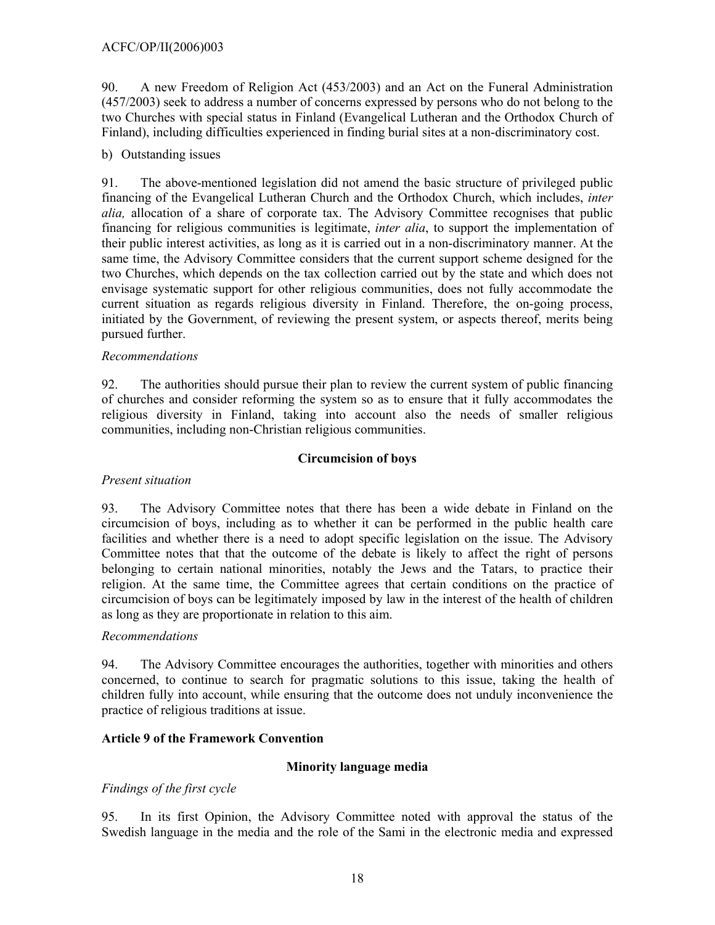90. A new Freedom of Religion Act (453/2003) and an Act on the Funeral Administration (457/2003) seek to address a number of concerns expressed by persons who do not belong to the two Churches with special status in Finland (Evangelical Lutheran and the Orthodox Church of Finland), including difficulties experienced in finding burial sites at a non-discriminatory cost.

# b) Outstanding issues

91. The above-mentioned legislation did not amend the basic structure of privileged public financing of the Evangelical Lutheran Church and the Orthodox Church, which includes, *inter alia,* allocation of a share of corporate tax. The Advisory Committee recognises that public financing for religious communities is legitimate, *inter alia*, to support the implementation of their public interest activities, as long as it is carried out in a non-discriminatory manner. At the same time, the Advisory Committee considers that the current support scheme designed for the two Churches, which depends on the tax collection carried out by the state and which does not envisage systematic support for other religious communities, does not fully accommodate the current situation as regards religious diversity in Finland. Therefore, the on-going process, initiated by the Government, of reviewing the present system, or aspects thereof, merits being pursued further.

### *Recommendations*

92. The authorities should pursue their plan to review the current system of public financing of churches and consider reforming the system so as to ensure that it fully accommodates the religious diversity in Finland, taking into account also the needs of smaller religious communities, including non-Christian religious communities.

## **Circumcision of boys**

## *Present situation*

93. The Advisory Committee notes that there has been a wide debate in Finland on the circumcision of boys, including as to whether it can be performed in the public health care facilities and whether there is a need to adopt specific legislation on the issue. The Advisory Committee notes that that the outcome of the debate is likely to affect the right of persons belonging to certain national minorities, notably the Jews and the Tatars, to practice their religion. At the same time, the Committee agrees that certain conditions on the practice of circumcision of boys can be legitimately imposed by law in the interest of the health of children as long as they are proportionate in relation to this aim.

#### *Recommendations*

94. The Advisory Committee encourages the authorities, together with minorities and others concerned, to continue to search for pragmatic solutions to this issue, taking the health of children fully into account, while ensuring that the outcome does not unduly inconvenience the practice of religious traditions at issue.

## **Article 9 of the Framework Convention**

## **Minority language media**

## *Findings of the first cycle*

95. In its first Opinion, the Advisory Committee noted with approval the status of the Swedish language in the media and the role of the Sami in the electronic media and expressed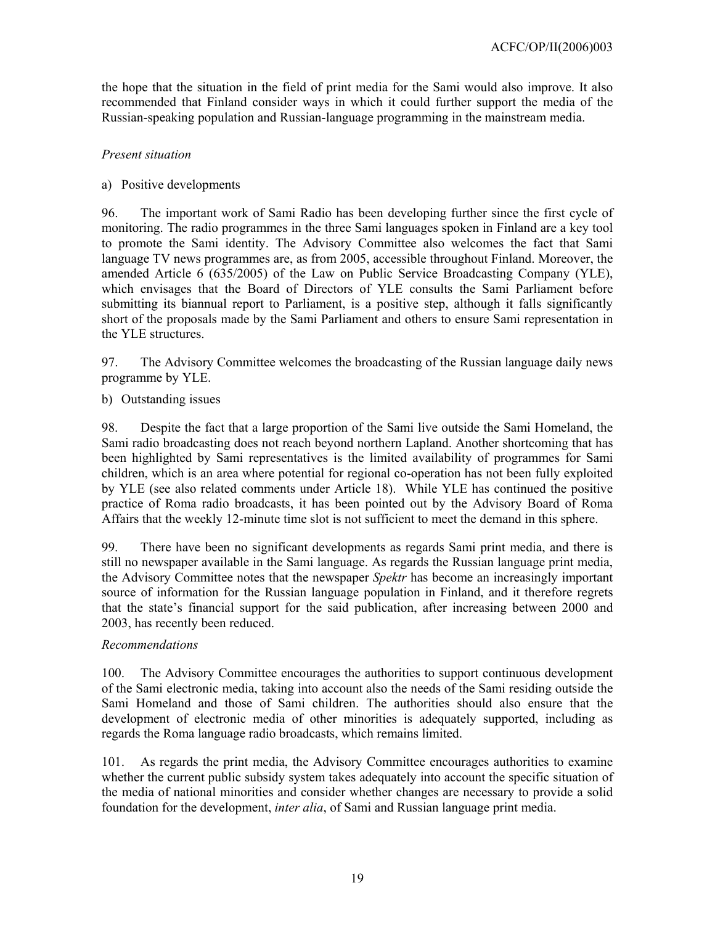the hope that the situation in the field of print media for the Sami would also improve. It also recommended that Finland consider ways in which it could further support the media of the Russian-speaking population and Russian-language programming in the mainstream media.

## *Present situation*

### a) Positive developments

96. The important work of Sami Radio has been developing further since the first cycle of monitoring. The radio programmes in the three Sami languages spoken in Finland are a key tool to promote the Sami identity. The Advisory Committee also welcomes the fact that Sami language TV news programmes are, as from 2005, accessible throughout Finland. Moreover, the amended Article 6 (635/2005) of the Law on Public Service Broadcasting Company (YLE), which envisages that the Board of Directors of YLE consults the Sami Parliament before submitting its biannual report to Parliament, is a positive step, although it falls significantly short of the proposals made by the Sami Parliament and others to ensure Sami representation in the YLE structures.

97. The Advisory Committee welcomes the broadcasting of the Russian language daily news programme by YLE.

### b) Outstanding issues

98. Despite the fact that a large proportion of the Sami live outside the Sami Homeland, the Sami radio broadcasting does not reach beyond northern Lapland. Another shortcoming that has been highlighted by Sami representatives is the limited availability of programmes for Sami children, which is an area where potential for regional co-operation has not been fully exploited by YLE (see also related comments under Article 18). While YLE has continued the positive practice of Roma radio broadcasts, it has been pointed out by the Advisory Board of Roma Affairs that the weekly 12-minute time slot is not sufficient to meet the demand in this sphere.

99. There have been no significant developments as regards Sami print media, and there is still no newspaper available in the Sami language. As regards the Russian language print media, the Advisory Committee notes that the newspaper *Spektr* has become an increasingly important source of information for the Russian language population in Finland, and it therefore regrets that the state's financial support for the said publication, after increasing between 2000 and 2003, has recently been reduced.

#### *Recommendations*

100. The Advisory Committee encourages the authorities to support continuous development of the Sami electronic media, taking into account also the needs of the Sami residing outside the Sami Homeland and those of Sami children. The authorities should also ensure that the development of electronic media of other minorities is adequately supported, including as regards the Roma language radio broadcasts, which remains limited.

101. As regards the print media, the Advisory Committee encourages authorities to examine whether the current public subsidy system takes adequately into account the specific situation of the media of national minorities and consider whether changes are necessary to provide a solid foundation for the development, *inter alia*, of Sami and Russian language print media.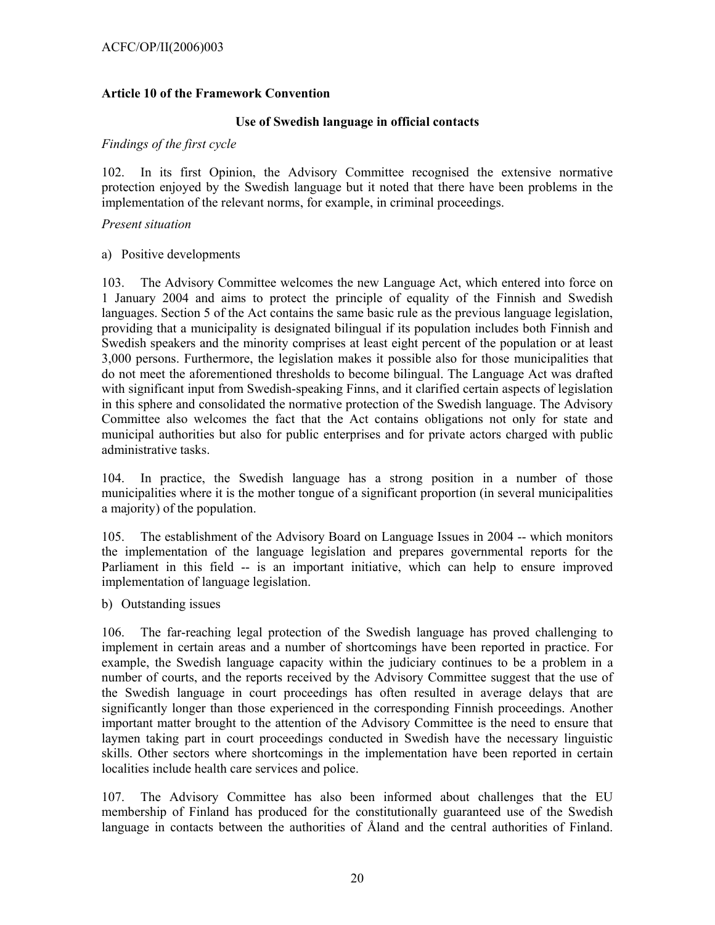## **Article 10 of the Framework Convention**

## **Use of Swedish language in official contacts**

### *Findings of the first cycle*

102. In its first Opinion, the Advisory Committee recognised the extensive normative protection enjoyed by the Swedish language but it noted that there have been problems in the implementation of the relevant norms, for example, in criminal proceedings.

## *Present situation*

### a) Positive developments

103. The Advisory Committee welcomes the new Language Act, which entered into force on 1 January 2004 and aims to protect the principle of equality of the Finnish and Swedish languages. Section 5 of the Act contains the same basic rule as the previous language legislation, providing that a municipality is designated bilingual if its population includes both Finnish and Swedish speakers and the minority comprises at least eight percent of the population or at least 3,000 persons. Furthermore, the legislation makes it possible also for those municipalities that do not meet the aforementioned thresholds to become bilingual. The Language Act was drafted with significant input from Swedish-speaking Finns, and it clarified certain aspects of legislation in this sphere and consolidated the normative protection of the Swedish language. The Advisory Committee also welcomes the fact that the Act contains obligations not only for state and municipal authorities but also for public enterprises and for private actors charged with public administrative tasks.

104. In practice, the Swedish language has a strong position in a number of those municipalities where it is the mother tongue of a significant proportion (in several municipalities a majority) of the population.

105. The establishment of the Advisory Board on Language Issues in 2004 -- which monitors the implementation of the language legislation and prepares governmental reports for the Parliament in this field -- is an important initiative, which can help to ensure improved implementation of language legislation.

b) Outstanding issues

106. The far-reaching legal protection of the Swedish language has proved challenging to implement in certain areas and a number of shortcomings have been reported in practice. For example, the Swedish language capacity within the judiciary continues to be a problem in a number of courts, and the reports received by the Advisory Committee suggest that the use of the Swedish language in court proceedings has often resulted in average delays that are significantly longer than those experienced in the corresponding Finnish proceedings. Another important matter brought to the attention of the Advisory Committee is the need to ensure that laymen taking part in court proceedings conducted in Swedish have the necessary linguistic skills. Other sectors where shortcomings in the implementation have been reported in certain localities include health care services and police.

107. The Advisory Committee has also been informed about challenges that the EU membership of Finland has produced for the constitutionally guaranteed use of the Swedish language in contacts between the authorities of Åland and the central authorities of Finland.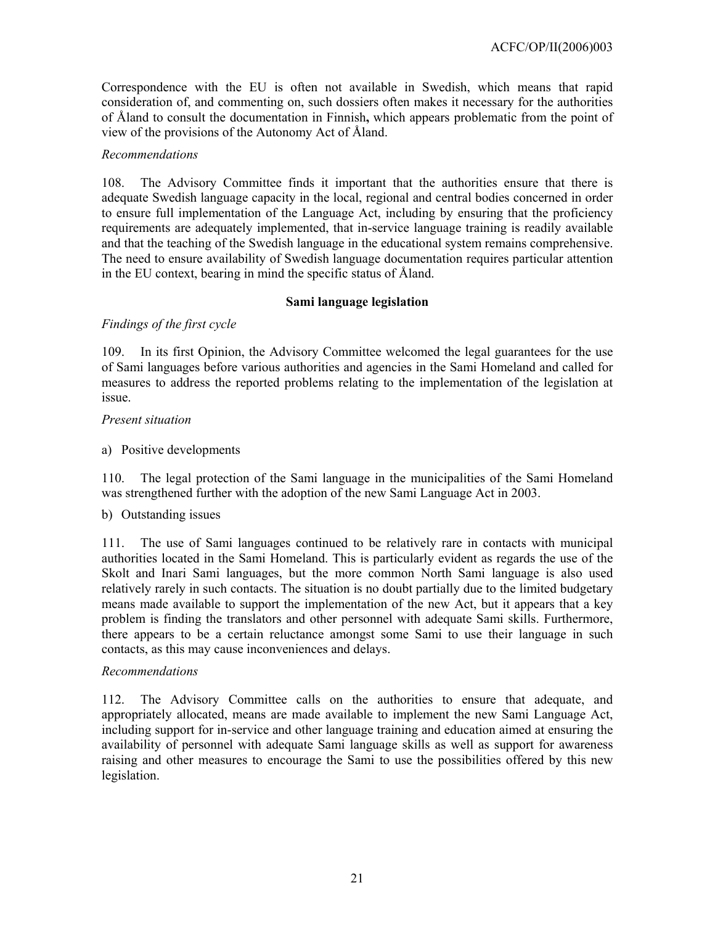Correspondence with the EU is often not available in Swedish, which means that rapid consideration of, and commenting on, such dossiers often makes it necessary for the authorities of Åland to consult the documentation in Finnish**,** which appears problematic from the point of view of the provisions of the Autonomy Act of Åland.

## *Recommendations*

108. The Advisory Committee finds it important that the authorities ensure that there is adequate Swedish language capacity in the local, regional and central bodies concerned in order to ensure full implementation of the Language Act, including by ensuring that the proficiency requirements are adequately implemented, that in-service language training is readily available and that the teaching of the Swedish language in the educational system remains comprehensive. The need to ensure availability of Swedish language documentation requires particular attention in the EU context, bearing in mind the specific status of Åland.

### **Sami language legislation**

# *Findings of the first cycle*

109. In its first Opinion, the Advisory Committee welcomed the legal guarantees for the use of Sami languages before various authorities and agencies in the Sami Homeland and called for measures to address the reported problems relating to the implementation of the legislation at issue.

### *Present situation*

a) Positive developments

110. The legal protection of the Sami language in the municipalities of the Sami Homeland was strengthened further with the adoption of the new Sami Language Act in 2003.

b) Outstanding issues

111. The use of Sami languages continued to be relatively rare in contacts with municipal authorities located in the Sami Homeland. This is particularly evident as regards the use of the Skolt and Inari Sami languages, but the more common North Sami language is also used relatively rarely in such contacts. The situation is no doubt partially due to the limited budgetary means made available to support the implementation of the new Act, but it appears that a key problem is finding the translators and other personnel with adequate Sami skills. Furthermore, there appears to be a certain reluctance amongst some Sami to use their language in such contacts, as this may cause inconveniences and delays.

## *Recommendations*

112. The Advisory Committee calls on the authorities to ensure that adequate, and appropriately allocated, means are made available to implement the new Sami Language Act, including support for in-service and other language training and education aimed at ensuring the availability of personnel with adequate Sami language skills as well as support for awareness raising and other measures to encourage the Sami to use the possibilities offered by this new legislation.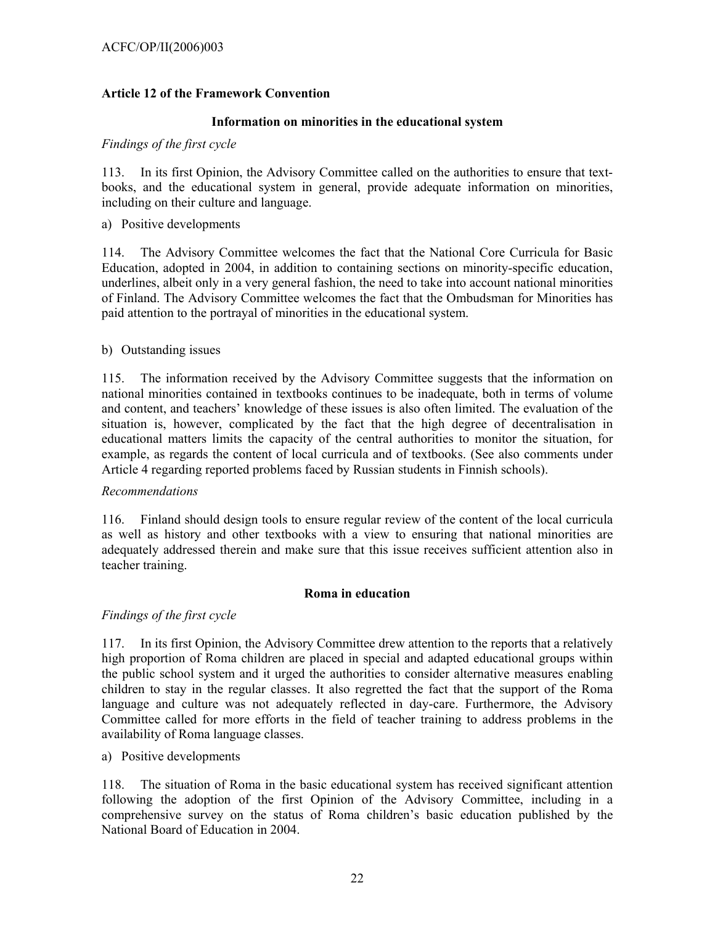# **Article 12 of the Framework Convention**

## **Information on minorities in the educational system**

### *Findings of the first cycle*

113. In its first Opinion, the Advisory Committee called on the authorities to ensure that textbooks, and the educational system in general, provide adequate information on minorities, including on their culture and language.

a) Positive developments

114. The Advisory Committee welcomes the fact that the National Core Curricula for Basic Education, adopted in 2004, in addition to containing sections on minority-specific education, underlines, albeit only in a very general fashion, the need to take into account national minorities of Finland. The Advisory Committee welcomes the fact that the Ombudsman for Minorities has paid attention to the portrayal of minorities in the educational system.

### b) Outstanding issues

115. The information received by the Advisory Committee suggests that the information on national minorities contained in textbooks continues to be inadequate, both in terms of volume and content, and teachers' knowledge of these issues is also often limited. The evaluation of the situation is, however, complicated by the fact that the high degree of decentralisation in educational matters limits the capacity of the central authorities to monitor the situation, for example, as regards the content of local curricula and of textbooks. (See also comments under Article 4 regarding reported problems faced by Russian students in Finnish schools).

#### *Recommendations*

116. Finland should design tools to ensure regular review of the content of the local curricula as well as history and other textbooks with a view to ensuring that national minorities are adequately addressed therein and make sure that this issue receives sufficient attention also in teacher training.

#### **Roma in education**

## *Findings of the first cycle*

117. In its first Opinion, the Advisory Committee drew attention to the reports that a relatively high proportion of Roma children are placed in special and adapted educational groups within the public school system and it urged the authorities to consider alternative measures enabling children to stay in the regular classes. It also regretted the fact that the support of the Roma language and culture was not adequately reflected in day-care. Furthermore, the Advisory Committee called for more efforts in the field of teacher training to address problems in the availability of Roma language classes.

a) Positive developments

118. The situation of Roma in the basic educational system has received significant attention following the adoption of the first Opinion of the Advisory Committee, including in a comprehensive survey on the status of Roma children's basic education published by the National Board of Education in 2004.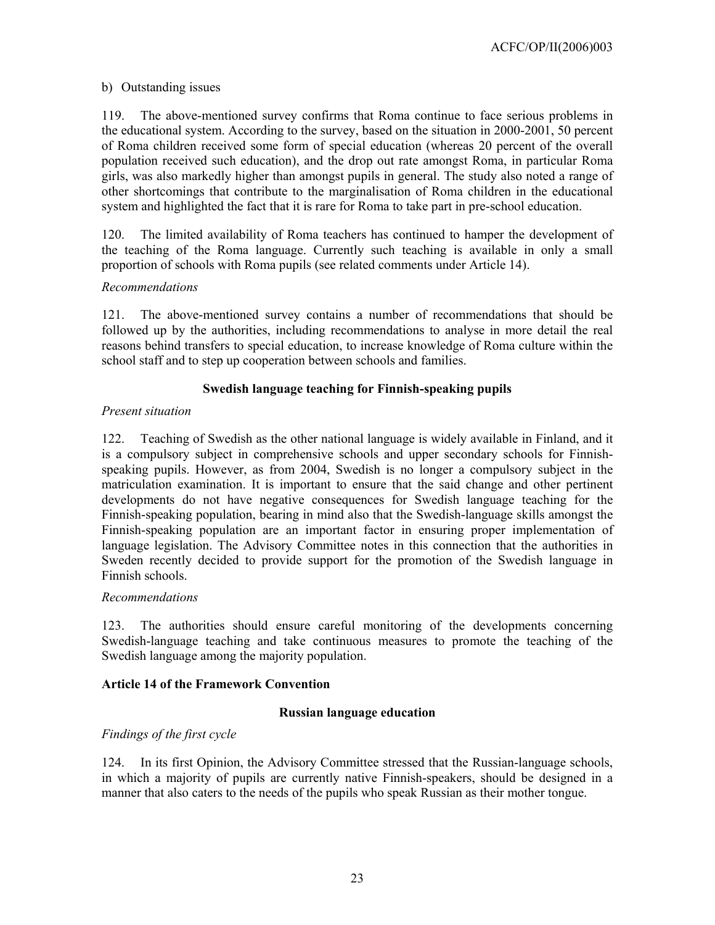## b) Outstanding issues

119. The above-mentioned survey confirms that Roma continue to face serious problems in the educational system. According to the survey, based on the situation in 2000-2001, 50 percent of Roma children received some form of special education (whereas 20 percent of the overall population received such education), and the drop out rate amongst Roma, in particular Roma girls, was also markedly higher than amongst pupils in general. The study also noted a range of other shortcomings that contribute to the marginalisation of Roma children in the educational system and highlighted the fact that it is rare for Roma to take part in pre-school education.

120. The limited availability of Roma teachers has continued to hamper the development of the teaching of the Roma language. Currently such teaching is available in only a small proportion of schools with Roma pupils (see related comments under Article 14).

### *Recommendations*

121. The above-mentioned survey contains a number of recommendations that should be followed up by the authorities, including recommendations to analyse in more detail the real reasons behind transfers to special education, to increase knowledge of Roma culture within the school staff and to step up cooperation between schools and families.

## **Swedish language teaching for Finnish-speaking pupils**

### *Present situation*

122. Teaching of Swedish as the other national language is widely available in Finland, and it is a compulsory subject in comprehensive schools and upper secondary schools for Finnishspeaking pupils. However, as from 2004, Swedish is no longer a compulsory subject in the matriculation examination. It is important to ensure that the said change and other pertinent developments do not have negative consequences for Swedish language teaching for the Finnish-speaking population, bearing in mind also that the Swedish-language skills amongst the Finnish-speaking population are an important factor in ensuring proper implementation of language legislation. The Advisory Committee notes in this connection that the authorities in Sweden recently decided to provide support for the promotion of the Swedish language in Finnish schools.

#### *Recommendations*

123. The authorities should ensure careful monitoring of the developments concerning Swedish-language teaching and take continuous measures to promote the teaching of the Swedish language among the majority population.

## **Article 14 of the Framework Convention**

## **Russian language education**

## *Findings of the first cycle*

124. In its first Opinion, the Advisory Committee stressed that the Russian-language schools, in which a majority of pupils are currently native Finnish-speakers, should be designed in a manner that also caters to the needs of the pupils who speak Russian as their mother tongue.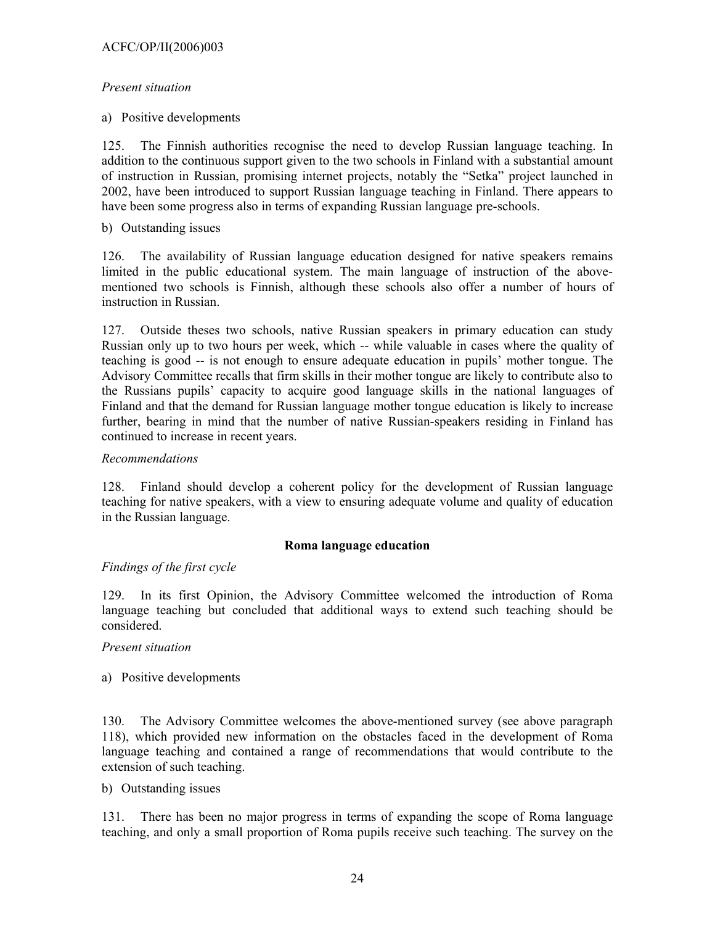## *Present situation*

a) Positive developments

125. The Finnish authorities recognise the need to develop Russian language teaching. In addition to the continuous support given to the two schools in Finland with a substantial amount of instruction in Russian, promising internet projects, notably the "Setka" project launched in 2002, have been introduced to support Russian language teaching in Finland. There appears to have been some progress also in terms of expanding Russian language pre-schools.

b) Outstanding issues

126. The availability of Russian language education designed for native speakers remains limited in the public educational system. The main language of instruction of the abovementioned two schools is Finnish, although these schools also offer a number of hours of instruction in Russian.

127. Outside theses two schools, native Russian speakers in primary education can study Russian only up to two hours per week, which -- while valuable in cases where the quality of teaching is good -- is not enough to ensure adequate education in pupils' mother tongue. The Advisory Committee recalls that firm skills in their mother tongue are likely to contribute also to the Russians pupils' capacity to acquire good language skills in the national languages of Finland and that the demand for Russian language mother tongue education is likely to increase further, bearing in mind that the number of native Russian-speakers residing in Finland has continued to increase in recent years.

### *Recommendations*

128. Finland should develop a coherent policy for the development of Russian language teaching for native speakers, with a view to ensuring adequate volume and quality of education in the Russian language.

#### **Roma language education**

## *Findings of the first cycle*

129. In its first Opinion, the Advisory Committee welcomed the introduction of Roma language teaching but concluded that additional ways to extend such teaching should be considered.

#### *Present situation*

a) Positive developments

130. The Advisory Committee welcomes the above-mentioned survey (see above paragraph 118), which provided new information on the obstacles faced in the development of Roma language teaching and contained a range of recommendations that would contribute to the extension of such teaching.

b) Outstanding issues

131. There has been no major progress in terms of expanding the scope of Roma language teaching, and only a small proportion of Roma pupils receive such teaching. The survey on the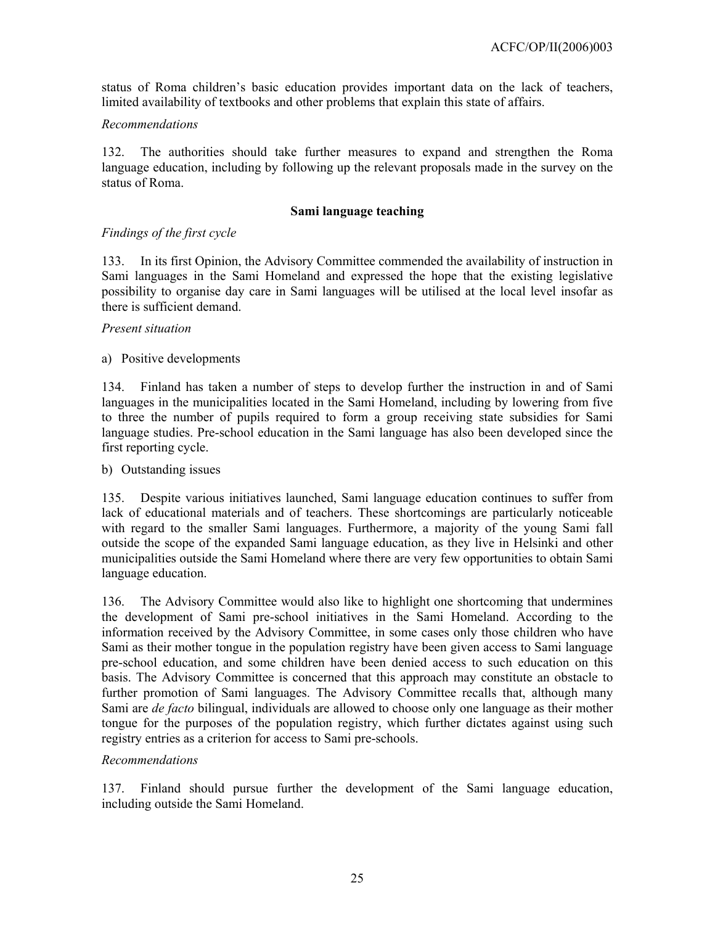status of Roma children's basic education provides important data on the lack of teachers, limited availability of textbooks and other problems that explain this state of affairs.

## *Recommendations*

132. The authorities should take further measures to expand and strengthen the Roma language education, including by following up the relevant proposals made in the survey on the status of Roma.

## **Sami language teaching**

## *Findings of the first cycle*

133. In its first Opinion, the Advisory Committee commended the availability of instruction in Sami languages in the Sami Homeland and expressed the hope that the existing legislative possibility to organise day care in Sami languages will be utilised at the local level insofar as there is sufficient demand.

#### *Present situation*

### a) Positive developments

134. Finland has taken a number of steps to develop further the instruction in and of Sami languages in the municipalities located in the Sami Homeland, including by lowering from five to three the number of pupils required to form a group receiving state subsidies for Sami language studies. Pre-school education in the Sami language has also been developed since the first reporting cycle.

#### b) Outstanding issues

135. Despite various initiatives launched, Sami language education continues to suffer from lack of educational materials and of teachers. These shortcomings are particularly noticeable with regard to the smaller Sami languages. Furthermore, a majority of the young Sami fall outside the scope of the expanded Sami language education, as they live in Helsinki and other municipalities outside the Sami Homeland where there are very few opportunities to obtain Sami language education.

136. The Advisory Committee would also like to highlight one shortcoming that undermines the development of Sami pre-school initiatives in the Sami Homeland. According to the information received by the Advisory Committee, in some cases only those children who have Sami as their mother tongue in the population registry have been given access to Sami language pre-school education, and some children have been denied access to such education on this basis. The Advisory Committee is concerned that this approach may constitute an obstacle to further promotion of Sami languages. The Advisory Committee recalls that, although many Sami are *de facto* bilingual, individuals are allowed to choose only one language as their mother tongue for the purposes of the population registry, which further dictates against using such registry entries as a criterion for access to Sami pre-schools.

#### *Recommendations*

137. Finland should pursue further the development of the Sami language education, including outside the Sami Homeland.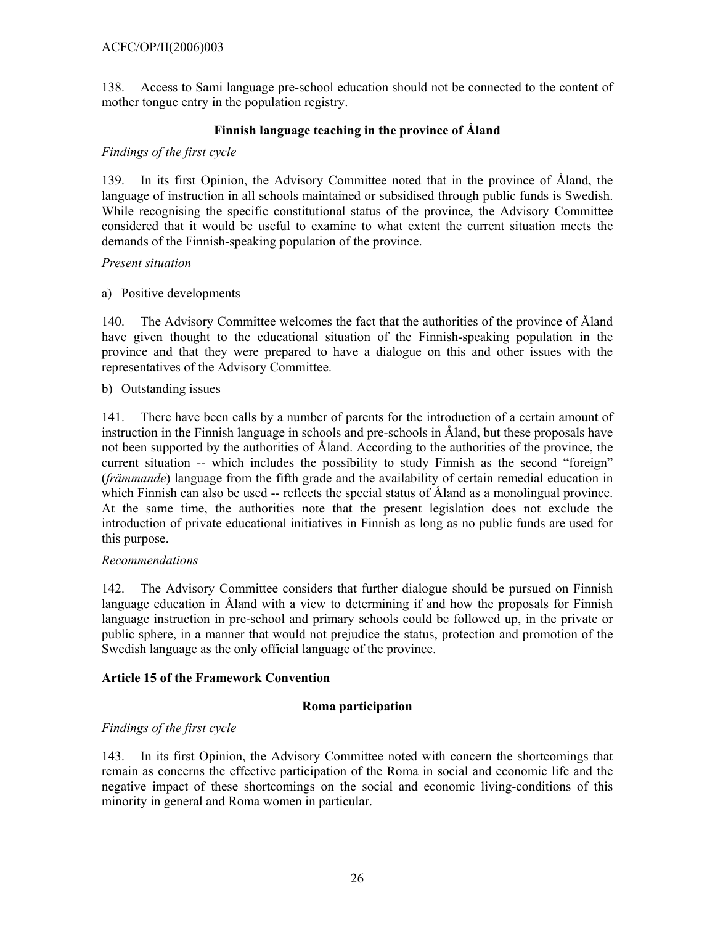## ACFC/OP/II(2006)003

138. Access to Sami language pre-school education should not be connected to the content of mother tongue entry in the population registry.

## **Finnish language teaching in the province of Åland**

### *Findings of the first cycle*

139. In its first Opinion, the Advisory Committee noted that in the province of Åland, the language of instruction in all schools maintained or subsidised through public funds is Swedish. While recognising the specific constitutional status of the province, the Advisory Committee considered that it would be useful to examine to what extent the current situation meets the demands of the Finnish-speaking population of the province.

### *Present situation*

### a) Positive developments

140. The Advisory Committee welcomes the fact that the authorities of the province of Åland have given thought to the educational situation of the Finnish-speaking population in the province and that they were prepared to have a dialogue on this and other issues with the representatives of the Advisory Committee.

### b) Outstanding issues

141. There have been calls by a number of parents for the introduction of a certain amount of instruction in the Finnish language in schools and pre-schools in Åland, but these proposals have not been supported by the authorities of Åland. According to the authorities of the province, the current situation -- which includes the possibility to study Finnish as the second "foreign" (*främmande*) language from the fifth grade and the availability of certain remedial education in which Finnish can also be used -- reflects the special status of Åland as a monolingual province. At the same time, the authorities note that the present legislation does not exclude the introduction of private educational initiatives in Finnish as long as no public funds are used for this purpose.

#### *Recommendations*

142. The Advisory Committee considers that further dialogue should be pursued on Finnish language education in Åland with a view to determining if and how the proposals for Finnish language instruction in pre-school and primary schools could be followed up, in the private or public sphere, in a manner that would not prejudice the status, protection and promotion of the Swedish language as the only official language of the province.

## **Article 15 of the Framework Convention**

#### **Roma participation**

## *Findings of the first cycle*

143. In its first Opinion, the Advisory Committee noted with concern the shortcomings that remain as concerns the effective participation of the Roma in social and economic life and the negative impact of these shortcomings on the social and economic living-conditions of this minority in general and Roma women in particular.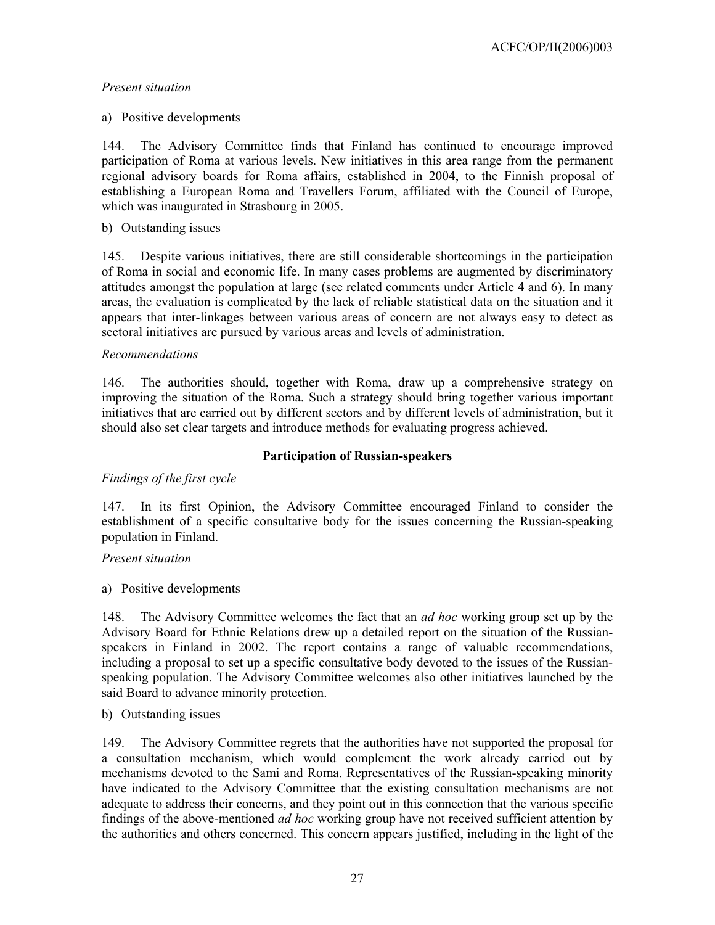# *Present situation*

## a) Positive developments

144. The Advisory Committee finds that Finland has continued to encourage improved participation of Roma at various levels. New initiatives in this area range from the permanent regional advisory boards for Roma affairs, established in 2004, to the Finnish proposal of establishing a European Roma and Travellers Forum, affiliated with the Council of Europe, which was inaugurated in Strasbourg in 2005.

# b) Outstanding issues

145. Despite various initiatives, there are still considerable shortcomings in the participation of Roma in social and economic life. In many cases problems are augmented by discriminatory attitudes amongst the population at large (see related comments under Article 4 and 6). In many areas, the evaluation is complicated by the lack of reliable statistical data on the situation and it appears that inter-linkages between various areas of concern are not always easy to detect as sectoral initiatives are pursued by various areas and levels of administration.

### *Recommendations*

146. The authorities should, together with Roma, draw up a comprehensive strategy on improving the situation of the Roma. Such a strategy should bring together various important initiatives that are carried out by different sectors and by different levels of administration, but it should also set clear targets and introduce methods for evaluating progress achieved.

## **Participation of Russian-speakers**

# *Findings of the first cycle*

147. In its first Opinion, the Advisory Committee encouraged Finland to consider the establishment of a specific consultative body for the issues concerning the Russian-speaking population in Finland.

## *Present situation*

a) Positive developments

148. The Advisory Committee welcomes the fact that an *ad hoc* working group set up by the Advisory Board for Ethnic Relations drew up a detailed report on the situation of the Russianspeakers in Finland in 2002. The report contains a range of valuable recommendations, including a proposal to set up a specific consultative body devoted to the issues of the Russianspeaking population. The Advisory Committee welcomes also other initiatives launched by the said Board to advance minority protection.

## b) Outstanding issues

149. The Advisory Committee regrets that the authorities have not supported the proposal for a consultation mechanism, which would complement the work already carried out by mechanisms devoted to the Sami and Roma. Representatives of the Russian-speaking minority have indicated to the Advisory Committee that the existing consultation mechanisms are not adequate to address their concerns, and they point out in this connection that the various specific findings of the above-mentioned *ad hoc* working group have not received sufficient attention by the authorities and others concerned. This concern appears justified, including in the light of the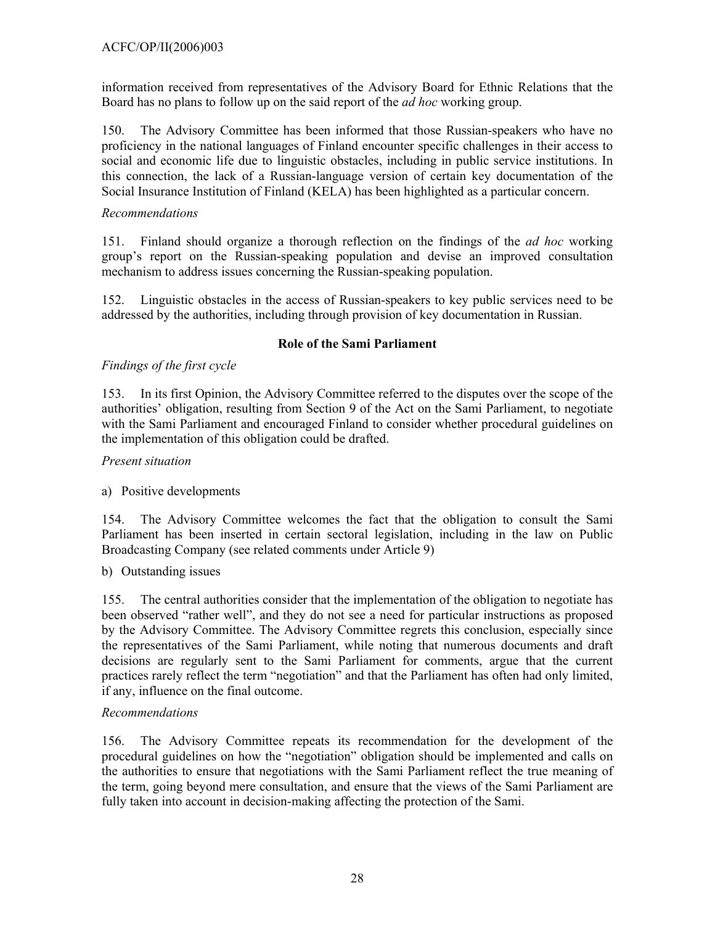information received from representatives of the Advisory Board for Ethnic Relations that the Board has no plans to follow up on the said report of the *ad hoc* working group.

150. The Advisory Committee has been informed that those Russian-speakers who have no proficiency in the national languages of Finland encounter specific challenges in their access to social and economic life due to linguistic obstacles, including in public service institutions. In this connection, the lack of a Russian-language version of certain key documentation of the Social Insurance Institution of Finland (KELA) has been highlighted as a particular concern.

# *Recommendations*

151. Finland should organize a thorough reflection on the findings of the *ad hoc* working group's report on the Russian-speaking population and devise an improved consultation mechanism to address issues concerning the Russian-speaking population.

152. Linguistic obstacles in the access of Russian-speakers to key public services need to be addressed by the authorities, including through provision of key documentation in Russian.

# **Role of the Sami Parliament**

# *Findings of the first cycle*

153. In its first Opinion, the Advisory Committee referred to the disputes over the scope of the authorities' obligation, resulting from Section 9 of the Act on the Sami Parliament, to negotiate with the Sami Parliament and encouraged Finland to consider whether procedural guidelines on the implementation of this obligation could be drafted.

# *Present situation*

# a) Positive developments

154. The Advisory Committee welcomes the fact that the obligation to consult the Sami Parliament has been inserted in certain sectoral legislation, including in the law on Public Broadcasting Company (see related comments under Article 9)

b) Outstanding issues

155. The central authorities consider that the implementation of the obligation to negotiate has been observed "rather well", and they do not see a need for particular instructions as proposed by the Advisory Committee. The Advisory Committee regrets this conclusion, especially since the representatives of the Sami Parliament, while noting that numerous documents and draft decisions are regularly sent to the Sami Parliament for comments, argue that the current practices rarely reflect the term "negotiation" and that the Parliament has often had only limited, if any, influence on the final outcome.

## *Recommendations*

156. The Advisory Committee repeats its recommendation for the development of the procedural guidelines on how the "negotiation" obligation should be implemented and calls on the authorities to ensure that negotiations with the Sami Parliament reflect the true meaning of the term, going beyond mere consultation, and ensure that the views of the Sami Parliament are fully taken into account in decision-making affecting the protection of the Sami.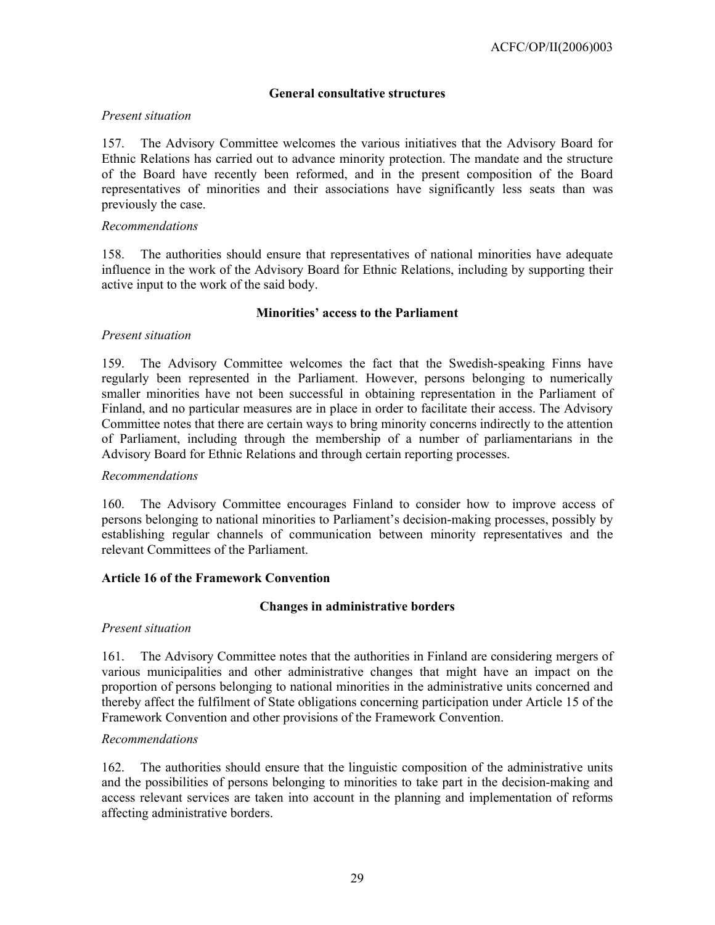# **General consultative structures**

## *Present situation*

157. The Advisory Committee welcomes the various initiatives that the Advisory Board for Ethnic Relations has carried out to advance minority protection. The mandate and the structure of the Board have recently been reformed, and in the present composition of the Board representatives of minorities and their associations have significantly less seats than was previously the case.

#### *Recommendations*

158. The authorities should ensure that representatives of national minorities have adequate influence in the work of the Advisory Board for Ethnic Relations, including by supporting their active input to the work of the said body.

### **Minorities' access to the Parliament**

### *Present situation*

159. The Advisory Committee welcomes the fact that the Swedish-speaking Finns have regularly been represented in the Parliament. However, persons belonging to numerically smaller minorities have not been successful in obtaining representation in the Parliament of Finland, and no particular measures are in place in order to facilitate their access. The Advisory Committee notes that there are certain ways to bring minority concerns indirectly to the attention of Parliament, including through the membership of a number of parliamentarians in the Advisory Board for Ethnic Relations and through certain reporting processes.

#### *Recommendations*

160. The Advisory Committee encourages Finland to consider how to improve access of persons belonging to national minorities to Parliament's decision-making processes, possibly by establishing regular channels of communication between minority representatives and the relevant Committees of the Parliament.

#### **Article 16 of the Framework Convention**

#### **Changes in administrative borders**

#### *Present situation*

161. The Advisory Committee notes that the authorities in Finland are considering mergers of various municipalities and other administrative changes that might have an impact on the proportion of persons belonging to national minorities in the administrative units concerned and thereby affect the fulfilment of State obligations concerning participation under Article 15 of the Framework Convention and other provisions of the Framework Convention.

#### *Recommendations*

162. The authorities should ensure that the linguistic composition of the administrative units and the possibilities of persons belonging to minorities to take part in the decision-making and access relevant services are taken into account in the planning and implementation of reforms affecting administrative borders.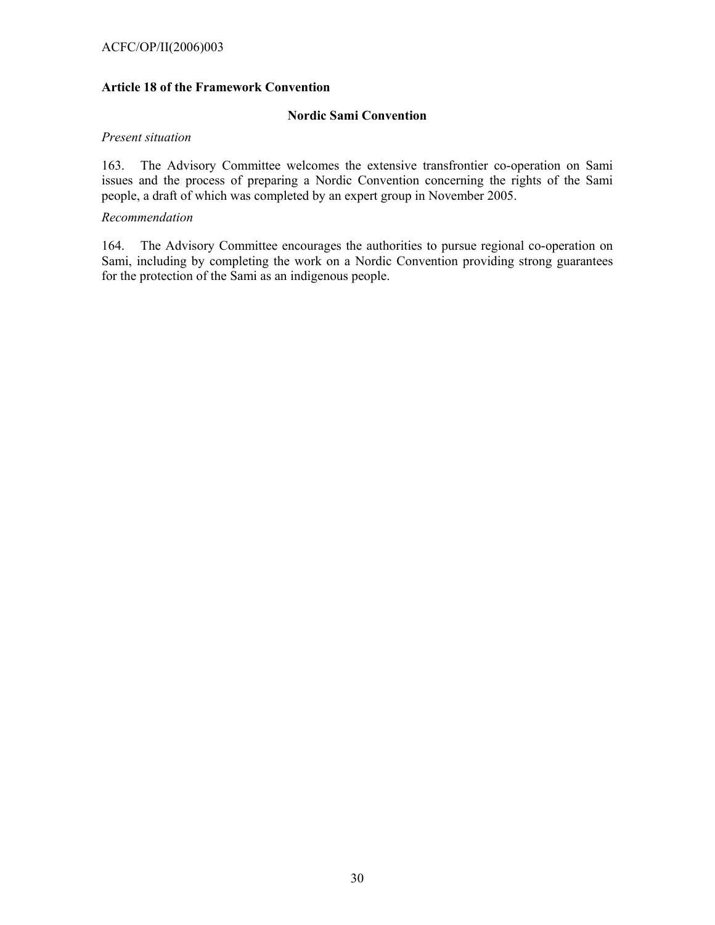### ACFC/OP/II(2006)003

### **Article 18 of the Framework Convention**

#### **Nordic Sami Convention**

#### *Present situation*

163. The Advisory Committee welcomes the extensive transfrontier co-operation on Sami issues and the process of preparing a Nordic Convention concerning the rights of the Sami people, a draft of which was completed by an expert group in November 2005.

#### *Recommendation*

164. The Advisory Committee encourages the authorities to pursue regional co-operation on Sami, including by completing the work on a Nordic Convention providing strong guarantees for the protection of the Sami as an indigenous people.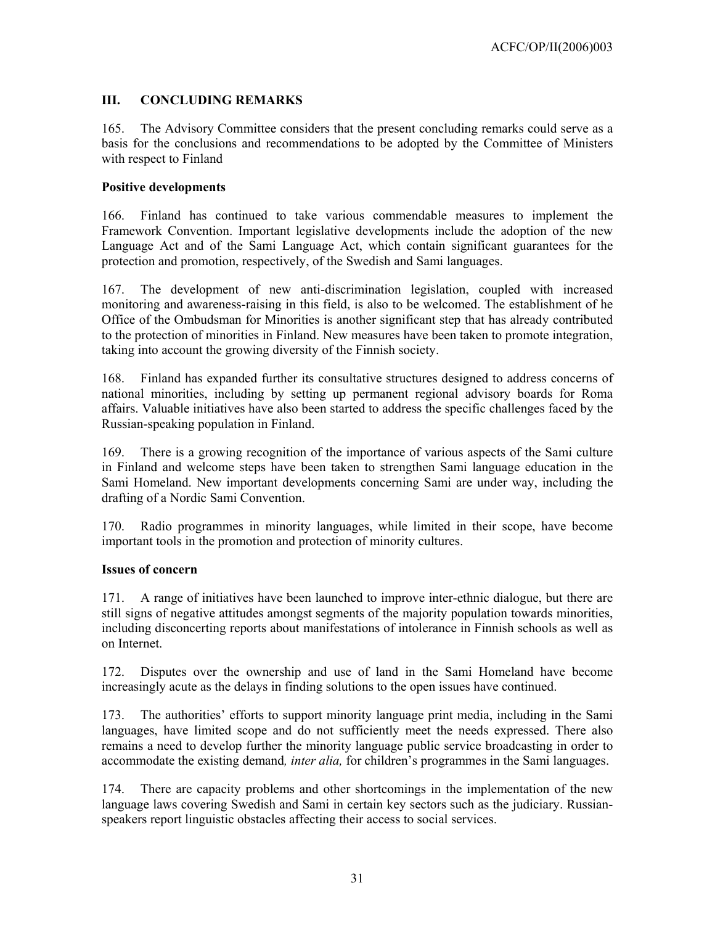# **III. CONCLUDING REMARKS**

165. The Advisory Committee considers that the present concluding remarks could serve as a basis for the conclusions and recommendations to be adopted by the Committee of Ministers with respect to Finland

## **Positive developments**

166. Finland has continued to take various commendable measures to implement the Framework Convention. Important legislative developments include the adoption of the new Language Act and of the Sami Language Act, which contain significant guarantees for the protection and promotion, respectively, of the Swedish and Sami languages.

167. The development of new anti-discrimination legislation, coupled with increased monitoring and awareness-raising in this field, is also to be welcomed. The establishment of he Office of the Ombudsman for Minorities is another significant step that has already contributed to the protection of minorities in Finland. New measures have been taken to promote integration, taking into account the growing diversity of the Finnish society.

168. Finland has expanded further its consultative structures designed to address concerns of national minorities, including by setting up permanent regional advisory boards for Roma affairs. Valuable initiatives have also been started to address the specific challenges faced by the Russian-speaking population in Finland.

169. There is a growing recognition of the importance of various aspects of the Sami culture in Finland and welcome steps have been taken to strengthen Sami language education in the Sami Homeland. New important developments concerning Sami are under way, including the drafting of a Nordic Sami Convention.

170. Radio programmes in minority languages, while limited in their scope, have become important tools in the promotion and protection of minority cultures.

## **Issues of concern**

171. A range of initiatives have been launched to improve inter-ethnic dialogue, but there are still signs of negative attitudes amongst segments of the majority population towards minorities, including disconcerting reports about manifestations of intolerance in Finnish schools as well as on Internet.

172. Disputes over the ownership and use of land in the Sami Homeland have become increasingly acute as the delays in finding solutions to the open issues have continued.

173. The authorities' efforts to support minority language print media, including in the Sami languages, have limited scope and do not sufficiently meet the needs expressed. There also remains a need to develop further the minority language public service broadcasting in order to accommodate the existing demand*, inter alia,* for children's programmes in the Sami languages.

174. There are capacity problems and other shortcomings in the implementation of the new language laws covering Swedish and Sami in certain key sectors such as the judiciary. Russianspeakers report linguistic obstacles affecting their access to social services.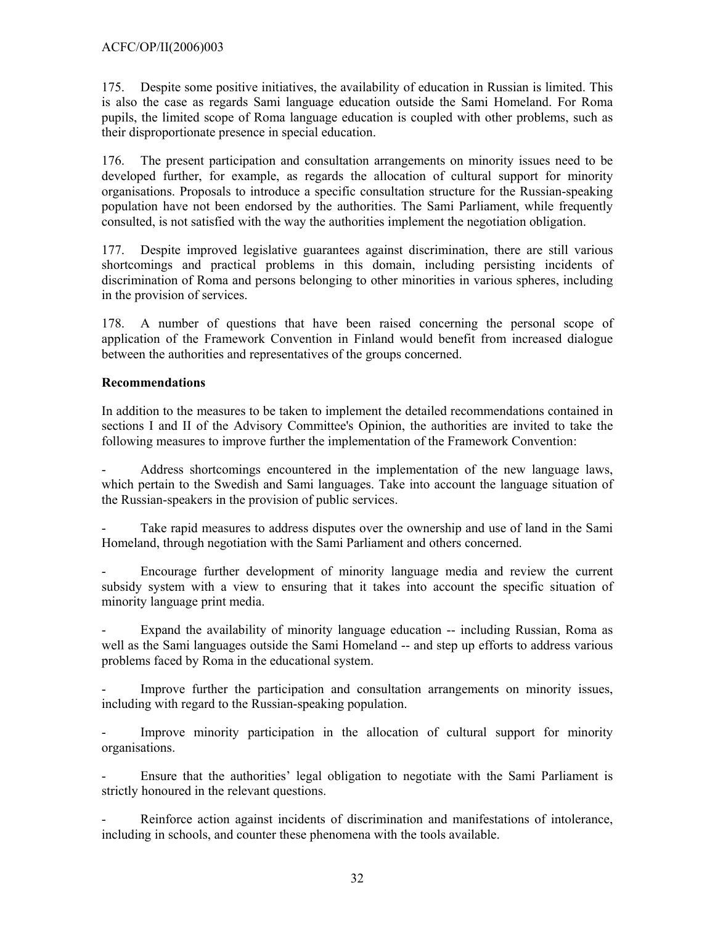175. Despite some positive initiatives, the availability of education in Russian is limited. This is also the case as regards Sami language education outside the Sami Homeland. For Roma pupils, the limited scope of Roma language education is coupled with other problems, such as their disproportionate presence in special education.

176. The present participation and consultation arrangements on minority issues need to be developed further, for example, as regards the allocation of cultural support for minority organisations. Proposals to introduce a specific consultation structure for the Russian-speaking population have not been endorsed by the authorities. The Sami Parliament, while frequently consulted, is not satisfied with the way the authorities implement the negotiation obligation.

177. Despite improved legislative guarantees against discrimination, there are still various shortcomings and practical problems in this domain, including persisting incidents of discrimination of Roma and persons belonging to other minorities in various spheres, including in the provision of services.

178. A number of questions that have been raised concerning the personal scope of application of the Framework Convention in Finland would benefit from increased dialogue between the authorities and representatives of the groups concerned.

## **Recommendations**

In addition to the measures to be taken to implement the detailed recommendations contained in sections I and II of the Advisory Committee's Opinion, the authorities are invited to take the following measures to improve further the implementation of the Framework Convention:

- Address shortcomings encountered in the implementation of the new language laws, which pertain to the Swedish and Sami languages. Take into account the language situation of the Russian-speakers in the provision of public services.

Take rapid measures to address disputes over the ownership and use of land in the Sami Homeland, through negotiation with the Sami Parliament and others concerned.

- Encourage further development of minority language media and review the current subsidy system with a view to ensuring that it takes into account the specific situation of minority language print media.

Expand the availability of minority language education -- including Russian, Roma as well as the Sami languages outside the Sami Homeland -- and step up efforts to address various problems faced by Roma in the educational system.

Improve further the participation and consultation arrangements on minority issues, including with regard to the Russian-speaking population.

Improve minority participation in the allocation of cultural support for minority organisations.

Ensure that the authorities' legal obligation to negotiate with the Sami Parliament is strictly honoured in the relevant questions.

Reinforce action against incidents of discrimination and manifestations of intolerance, including in schools, and counter these phenomena with the tools available.